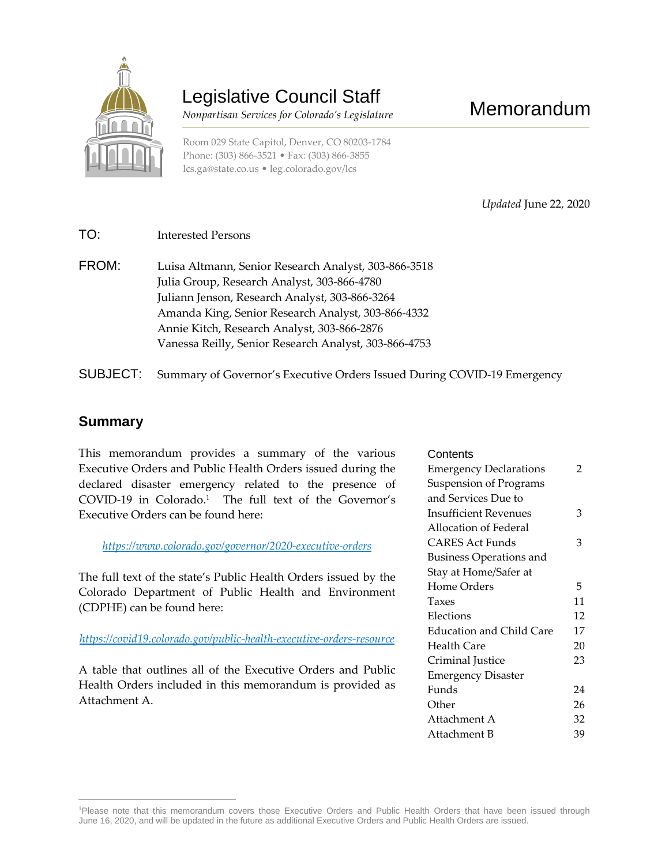

# Legislative Council Staff

 *Nonpartisan Services for Colorado's Legislature*

Room 029 State Capitol, Denver, CO 80203-1784 Phone: (303) 866-3521 • Fax: (303) 866-3855 [lcs.ga@state.co.us](mailto:lcs.ga@state.co.us) • [leg.colorado.gov/lcs](http://leg.colorado.gov/lcs)

Memorandum

*Updated* June 22, 2020

- TO: Interested Persons
- FROM: Luisa Altmann, Senior Research Analyst, 303-866-3518 Julia Group, Research Analyst, 303-866-4780 Juliann Jenson, Research Analyst, 303-866-3264 Amanda King, Senior Research Analyst, 303-866-4332 Annie Kitch, Research Analyst, 303-866-2876 Vanessa Reilly, Senior Research Analyst, 303-866-4753
- SUBJECT: Summary of Governor's Executive Orders Issued During COVID-19 Emergency

#### **Summary**

This memorandum provides a summary of the various Executive Orders and Public Health Orders issued during the declared disaster emergency related to the presence of COVID-19 in Colorado. 1 The full text of the Governor's Executive Orders can be found here:

*<https://www.colorado.gov/governor/2020-executive-orders>*

The full text of the state's Public Health Orders issued by the Colorado Department of Public Health and Environment (CDPHE) can be found here:

*<https://covid19.colorado.gov/public-health-executive-orders-resource>*

A table that outlines all of the Executive Orders and Public Health Orders included in this memorandum is provided as Attachment A.

| Contents                       |    |
|--------------------------------|----|
| <b>Emergency Declarations</b>  | 2  |
| <b>Suspension of Programs</b>  |    |
| and Services Due to            |    |
| <b>Insufficient Revenues</b>   | З  |
| Allocation of Federal          |    |
| CARES Act Funds                | З  |
| <b>Business Operations and</b> |    |
| Stay at Home/Safer at          |    |
| Home Orders                    | 5  |
| Taxes                          | 11 |
| Elections                      | 12 |
|                                | 17 |
| Education and Child Care       |    |
| Health Care                    | 20 |
| Criminal Justice               | 23 |
| <b>Emergency Disaster</b>      |    |
| Funds                          | 24 |
| Other                          | 26 |
| Attachment A                   | 32 |

 $\overline{a}$ <sup>1</sup>Please note that this memorandum covers those Executive Orders and Public Health Orders that have been issued through June 16, 2020, and will be updated in the future as additional Executive Orders and Public Health Orders are issued.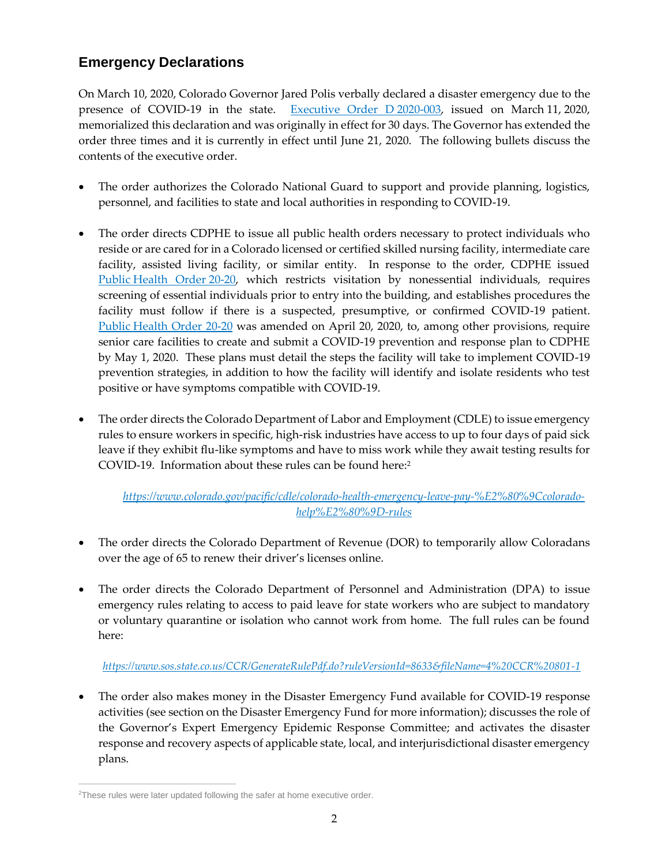# **Emergency Declarations**

On March 10, 2020, Colorado Governor Jared Polis verbally declared a disaster emergency due to the presence of COVID-19 in the state. [Executive Order](https://www.colorado.gov/governor/sites/default/files/inline-files/D%202020%20003%20Declaring%20a%20Disaster%20Emergency_1.pdf) D 2020-003, issued on March 11, 2020, memorialized this declaration and was originally in effect for 30 days. The Governor has extended the order three times and it is currently in effect until June 21, 2020. The following bullets discuss the contents of the executive order.

- The order authorizes the Colorado National Guard to support and provide planning, logistics, personnel, and facilities to state and local authorities in responding to COVID-19.
- The order directs CDPHE to issue all public health orders necessary to protect individuals who reside or are cared for in a Colorado licensed or certified skilled nursing facility, intermediate care facility, assisted living facility, or similar entity. In response to the order, CDPHE issued Public [Health Order](https://www.colorado.gov/pacific/sites/default/files/atoms/files/Nursing%20Home%2C%20ALR%2C%20ICF%20PH%20Order-links.pdf) 20-20, which restricts visitation by nonessential individuals, requires screening of essential individuals prior to entry into the building, and establishes procedures the facility must follow if there is a suspected, presumptive, or confirmed COVID-19 patient. Public [Health Order 20-20](https://drive.google.com/file/d/1hQjflMqUOov3YdJYCMw5CaFucB5Ea6V6/view) was amended on April 20, 2020, to, among other provisions, require senior care facilities to create and submit a COVID-19 prevention and response plan to CDPHE by May 1, 2020. These plans must detail the steps the facility will take to implement COVID-19 prevention strategies, in addition to how the facility will identify and isolate residents who test positive or have symptoms compatible with COVID-19.
- The order directs the Colorado Department of Labor and Employment (CDLE) to issue emergency rules to ensure workers in specific, high-risk industries have access to up to four days of paid sick leave if they exhibit flu-like symptoms and have to miss work while they await testing results for COVID-19. Information about these rules can be found here:<sup>2</sup>

#### *[https://www.colorado.gov/pacific/cdle/colorado-health-emergency-leave-pay-%E2%80%9Ccolorado](https://www.colorado.gov/pacific/cdle/colorado-health-emergency-leave-pay-%E2%80%9Ccolorado-help%E2%80%9D-rules)[help%E2%80%9D-rules](https://www.colorado.gov/pacific/cdle/colorado-health-emergency-leave-pay-%E2%80%9Ccolorado-help%E2%80%9D-rules)*

- The order directs the Colorado Department of Revenue (DOR) to temporarily allow Coloradans over the age of 65 to renew their driver's licenses online.
- The order directs the Colorado Department of Personnel and Administration (DPA) to issue emergency rules relating to access to paid leave for state workers who are subject to mandatory or voluntary quarantine or isolation who cannot work from home. The full rules can be found here:

#### *<https://www.sos.state.co.us/CCR/GenerateRulePdf.do?ruleVersionId=8633&fileName=4%20CCR%20801-1>*

 The order also makes money in the Disaster Emergency Fund available for COVID-19 response activities (see section on the Disaster Emergency Fund for more information); discusses the role of the Governor's Expert Emergency Epidemic Response Committee; and activates the disaster response and recovery aspects of applicable state, local, and interjurisdictional disaster emergency plans.

 $\overline{a}$ <sup>2</sup>These rules were later updated following the safer at home executive order.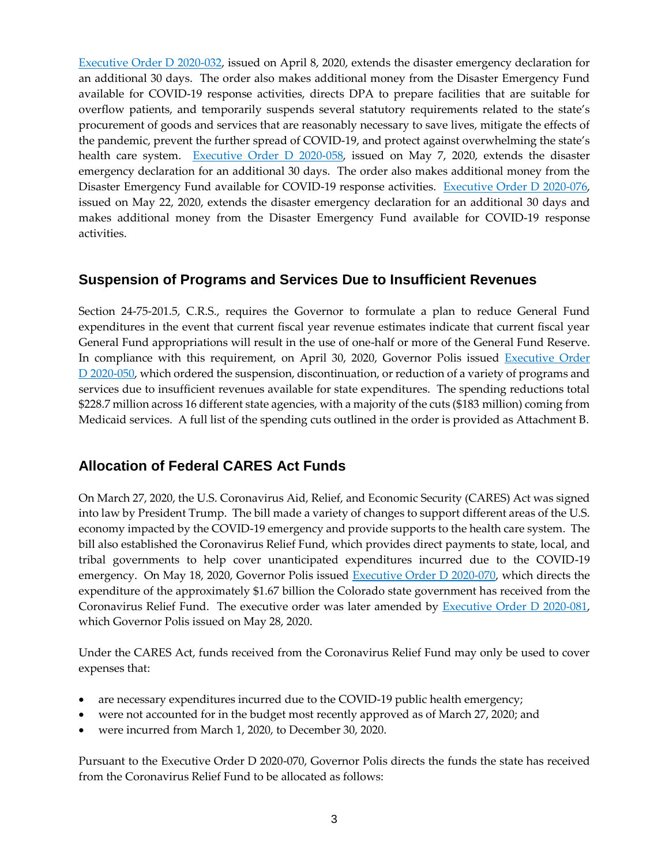[Executive Order D 2020-032,](https://www.colorado.gov/governor/sites/default/files/inline-files/D%202020%20032%20Extending%20D%202020%20003.pdf) issued on April 8, 2020, extends the disaster emergency declaration for an additional 30 days. The order also makes additional money from the Disaster Emergency Fund available for COVID-19 response activities, directs DPA to prepare facilities that are suitable for overflow patients, and temporarily suspends several statutory requirements related to the state's procurement of goods and services that are reasonably necessary to save lives, mitigate the effects of the pandemic, prevent the further spread of COVID-19, and protect against overwhelming the state's health care system. [Executive Order D 2020-058,](https://www.colorado.gov/governor/sites/default/files/inline-files/D%202020%20058%20Amending%20and%20Extending%20Distaster%20Order.pdf) issued on May 7, 2020, extends the disaster emergency declaration for an additional 30 days. The order also makes additional money from the Disaster Emergency Fund available for COVID-19 response activities. [Executive Order D 2020-076,](https://www.colorado.gov/governor/sites/default/files/inline-files/D%202020%20076%20Extending%20Disaster%20Order%20D%202020%20003.pdf) issued on May 22, 2020, extends the disaster emergency declaration for an additional 30 days and makes additional money from the Disaster Emergency Fund available for COVID-19 response activities.

### **Suspension of Programs and Services Due to Insufficient Revenues**

Section 24-75-201.5, C.R.S., requires the Governor to formulate a plan to reduce General Fund expenditures in the event that current fiscal year revenue estimates indicate that current fiscal year General Fund appropriations will result in the use of one-half or more of the General Fund Reserve. In compliance with this requirement, on April 30, 2020, Governor Polis issued Executive Order D [2020-050,](https://www.colorado.gov/governor/sites/default/files/inline-files/D%202020%20050%20Budget.pdf) which ordered the suspension, discontinuation, or reduction of a variety of programs and services due to insufficient revenues available for state expenditures. The spending reductions total \$228.7 million across 16 different state agencies, with a majority of the cuts (\$183 million) coming from Medicaid services. A full list of the spending cuts outlined in the order is provided as Attachment B.

# **Allocation of Federal CARES Act Funds**

On March 27, 2020, the U.S. Coronavirus Aid, Relief, and Economic Security (CARES) Act was signed into law by President Trump. The bill made a variety of changes to support different areas of the U.S. economy impacted by the COVID-19 emergency and provide supports to the health care system. The bill also established the Coronavirus Relief Fund, which provides direct payments to state, local, and tribal governments to help cover unanticipated expenditures incurred due to the COVID-19 emergency. On May 18, 2020, Governor Polis issued [Executive Order D 2020-070,](https://www.colorado.gov/governor/sites/default/files/inline-files/D%202020%20070%20CARES%20act.pdf) which directs the expenditure of the approximately \$1.67 billion the Colorado state government has received from the Coronavirus Relief Fund. The executive order was later amended by [Executive Order D 2020-081,](https://www.colorado.gov/governor/sites/default/files/inline-files/D%202020%20081%20CARES%20Act%20-%20Amending%202020%20070.pdf) which Governor Polis issued on May 28, 2020.

Under the CARES Act, funds received from the Coronavirus Relief Fund may only be used to cover expenses that:

- are necessary expenditures incurred due to the COVID-19 public health emergency;
- were not accounted for in the budget most recently approved as of March 27, 2020; and
- were incurred from March 1, 2020, to December 30, 2020.

Pursuant to the Executive Order D 2020-070, Governor Polis directs the funds the state has received from the Coronavirus Relief Fund to be allocated as follows: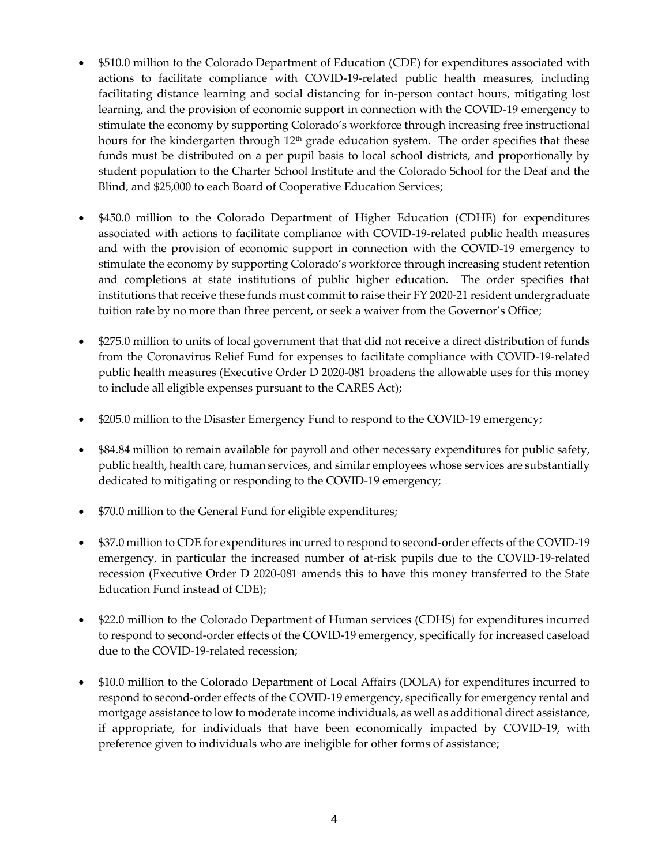- \$510.0 million to the Colorado Department of Education (CDE) for expenditures associated with actions to facilitate compliance with COVID-19-related public health measures, including facilitating distance learning and social distancing for in-person contact hours, mitigating lost learning, and the provision of economic support in connection with the COVID-19 emergency to stimulate the economy by supporting Colorado's workforce through increasing free instructional hours for the kindergarten through  $12<sup>th</sup>$  grade education system. The order specifies that these funds must be distributed on a per pupil basis to local school districts, and proportionally by student population to the Charter School Institute and the Colorado School for the Deaf and the Blind, and \$25,000 to each Board of Cooperative Education Services;
- \$450.0 million to the Colorado Department of Higher Education (CDHE) for expenditures associated with actions to facilitate compliance with COVID-19-related public health measures and with the provision of economic support in connection with the COVID-19 emergency to stimulate the economy by supporting Colorado's workforce through increasing student retention and completions at state institutions of public higher education. The order specifies that institutions that receive these funds must commit to raise their FY 2020-21 resident undergraduate tuition rate by no more than three percent, or seek a waiver from the Governor's Office;
- \$275.0 million to units of local government that that did not receive a direct distribution of funds from the Coronavirus Relief Fund for expenses to facilitate compliance with COVID-19-related public health measures (Executive Order D 2020-081 broadens the allowable uses for this money to include all eligible expenses pursuant to the CARES Act);
- \$205.0 million to the Disaster Emergency Fund to respond to the COVID-19 emergency;
- \$84.84 million to remain available for payroll and other necessary expenditures for public safety, public health, health care, human services, and similar employees whose services are substantially dedicated to mitigating or responding to the COVID-19 emergency;
- \$70.0 million to the General Fund for eligible expenditures;
- \$37.0 million to CDE for expenditures incurred to respond to second-order effects of the COVID-19 emergency, in particular the increased number of at-risk pupils due to the COVID-19-related recession (Executive Order D 2020-081 amends this to have this money transferred to the State Education Fund instead of CDE);
- \$22.0 million to the Colorado Department of Human services (CDHS) for expenditures incurred to respond to second-order effects of the COVID-19 emergency, specifically for increased caseload due to the COVID-19-related recession;
- \$10.0 million to the Colorado Department of Local Affairs (DOLA) for expenditures incurred to respond to second-order effects of the COVID-19 emergency, specifically for emergency rental and mortgage assistance to low to moderate income individuals, as well as additional direct assistance, if appropriate, for individuals that have been economically impacted by COVID-19, with preference given to individuals who are ineligible for other forms of assistance;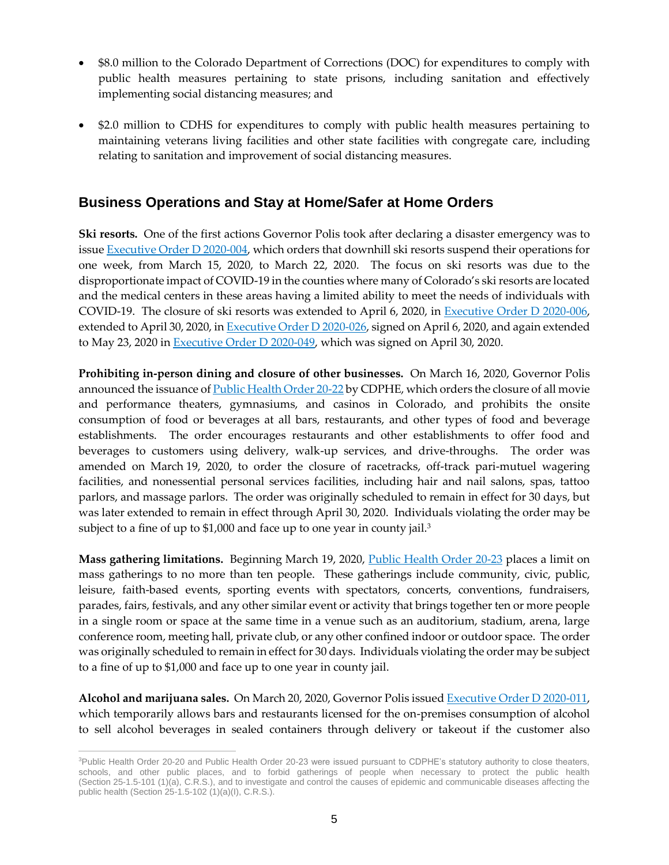- \$8.0 million to the Colorado Department of Corrections (DOC) for expenditures to comply with public health measures pertaining to state prisons, including sanitation and effectively implementing social distancing measures; and
- \$2.0 million to CDHS for expenditures to comply with public health measures pertaining to maintaining veterans living facilities and other state facilities with congregate care, including relating to sanitation and improvement of social distancing measures.

### **Business Operations and Stay at Home/Safer at Home Orders**

**Ski resorts.** One of the first actions Governor Polis took after declaring a disaster emergency was to issu[e Executive Order D 2020-004,](https://www.colorado.gov/governor/sites/default/files/inline-files/D%202020%20004%20Ordering%20Closure%20of%20Downhill%20Ski%20Resorts_0.pdf) which orders that downhill ski resorts suspend their operations for one week, from March 15, 2020, to March 22, 2020. The focus on ski resorts was due to the disproportionate impact of COVID-19 in the counties where many of Colorado's ski resorts are located and the medical centers in these areas having a limited ability to meet the needs of individuals with COVID-19. The closure of ski resorts was extended to April 6, 2020, in [Executive Order D 2020-006,](https://www.colorado.gov/governor/sites/default/files/inline-files/D%202020%20006%20Amending%20Executive%20Order%20D%202020%20004%20Ordering%20Closure%20of%20Downhill%20Ski%20Areas_0.pdf) extended to April 30, 2020, in **Executive Order D** 2020-026, signed on April 6, 2020, and again extended to May 23, 2020 i[n Executive Order D 2020-049,](https://www.colorado.gov/governor/sites/default/files/inline-files/D%202020%20049%20Amending%20and%20Extending%20Ski%20Closures.pdf) which was signed on April 30, 2020.

**Prohibiting in-person dining and closure of other businesses.** On March 16, 2020, Governor Polis announced the issuance o[f Public Health Order 20-22](https://drive.google.com/file/d/1aMOxiYDg1lI2U0EbkpyK8bBQT0sWJJhT/view) by CDPHE, which orders the closure of all movie and performance theaters, gymnasiums, and casinos in Colorado, and prohibits the onsite consumption of food or beverages at all bars, restaurants, and other types of food and beverage establishments. The order encourages restaurants and other establishments to offer food and beverages to customers using delivery, walk-up services, and drive-throughs. The order was amended on March 19, 2020, to order the closure of racetracks, off-track pari-mutuel wagering facilities, and nonessential personal services facilities, including hair and nail salons, spas, tattoo parlors, and massage parlors. The order was originally scheduled to remain in effect for 30 days, but was later extended to remain in effect through April 30, 2020. Individuals violating the order may be subject to a fine of up to \$1,000 and face up to one year in county jail.<sup>3</sup>

**Mass gathering limitations.** Beginning March 19, 2020, [Public Health Order 20-23](https://drive.google.com/file/d/1AaKvB7q0LHUfU59bI_q08Lz4rCthailr/view) places a limit on mass gatherings to no more than ten people. These gatherings include community, civic, public, leisure, faith-based events, sporting events with spectators, concerts, conventions, fundraisers, parades, fairs, festivals, and any other similar event or activity that brings together ten or more people in a single room or space at the same time in a venue such as an auditorium, stadium, arena, large conference room, meeting hall, private club, or any other confined indoor or outdoor space. The order was originally scheduled to remain in effect for 30 days. Individuals violating the order may be subject to a fine of up to \$1,000 and face up to one year in county jail.

**Alcohol and marijuana sales.** On March 20, 2020, Governor Polis issued [Executive Order D 2020-011,](https://www.colorado.gov/governor/sites/default/files/inline-files/D%202020%20011%20Ordering%20the%20Temporary%20Suspension%20of%20Certain%20Regulatory%20Statutes_0.pdf) which temporarily allows bars and restaurants licensed for the on-premises consumption of alcohol to sell alcohol beverages in sealed containers through delivery or takeout if the customer also

 $\overline{a}$ 

<sup>&</sup>lt;sup>3</sup>Public Health Order 20-20 and Public Health Order 20-23 were issued pursuant to CDPHE's statutory authority to close theaters, schools, and other public places, and to forbid gatherings of people when necessary to protect the public health (Section 25-1.5-101 (1)(a), C.R.S.), and to investigate and control the causes of epidemic and communicable diseases affecting the public health (Section 25-1.5-102 (1)(a)(I), C.R.S.).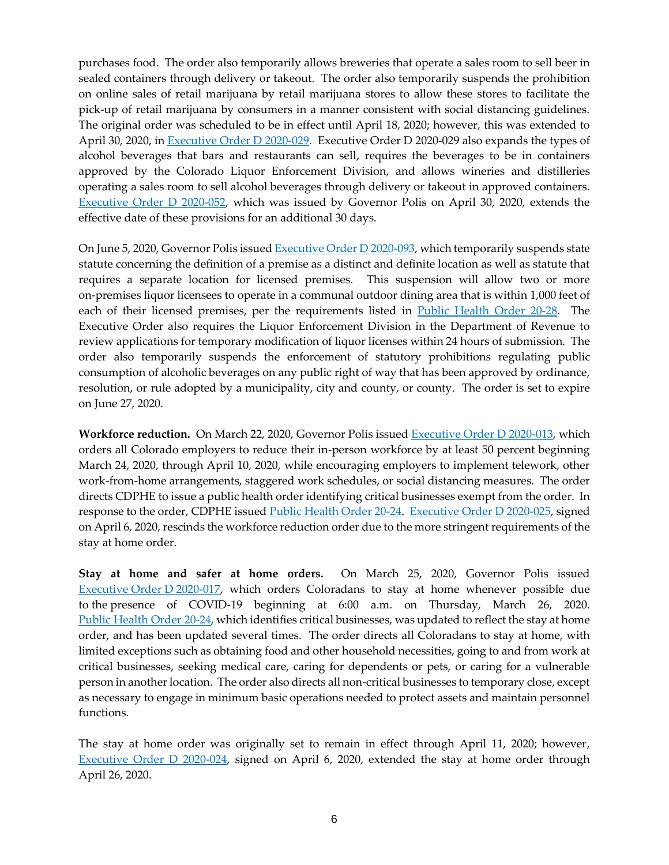purchases food. The order also temporarily allows breweries that operate a sales room to sell beer in sealed containers through delivery or takeout. The order also temporarily suspends the prohibition on online sales of retail marijuana by retail marijuana stores to allow these stores to facilitate the pick-up of retail marijuana by consumers in a manner consistent with social distancing guidelines. The original order was scheduled to be in effect until April 18, 2020; however, this was extended to April 30, 2020, in [Executive Order D 2020-029.](https://www.colorado.gov/governor/sites/default/files/inline-files/D%202020%20029%20Amending%20and%20Extending%20D%202020%20011_0.pdf) Executive Order D 2020-029 also expands the types of alcohol beverages that bars and restaurants can sell, requires the beverages to be in containers approved by the Colorado Liquor Enforcement Division, and allows wineries and distilleries operating a sales room to sell alcohol beverages through delivery or takeout in approved containers. [Executive Order D 2020-052,](https://www.colorado.gov/governor/sites/default/files/inline-files/D%202020%20052%20Ext%20of%20D%202020%20011%20and%20D%202020%20029.pdf) which was issued by Governor Polis on April 30, 2020, extends the effective date of these provisions for an additional 30 days.

On June 5, 2020, Governor Polis issue[d Executive Order D 2020-093,](https://www.colorado.gov/governor/sites/default/files/inline-files/D%202020%20093LiquorLicensingStatutes.pdf) which temporarily suspends state statute concerning the definition of a premise as a distinct and definite location as well as statute that requires a separate location for licensed premises. This suspension will allow two or more on-premises liquor licensees to operate in a communal outdoor dining area that is within 1,000 feet of each of their licensed premises, per the requirements listed in [Public Health Order 20-28.](https://drive.google.com/file/d/1VorTaq8-pYUv3UCYvKJ0Bl7Ozhyf7nyL/view) The Executive Order also requires the Liquor Enforcement Division in the Department of Revenue to review applications for temporary modification of liquor licenses within 24 hours of submission. The order also temporarily suspends the enforcement of statutory prohibitions regulating public consumption of alcoholic beverages on any public right of way that has been approved by ordinance, resolution, or rule adopted by a municipality, city and county, or county. The order is set to expire on June 27, 2020.

**Workforce reduction.** On March 22, 2020, Governor Polis issued [Executive Order D 2020-013,](https://www.colorado.gov/governor/sites/default/files/inline-files/D%202020%20013%20Ordering%20Colorado%20Employers%20to%20Reduce%20In-Person%20Workforce%20by%20Fifty%20Percent_0.pdf) which orders all Colorado employers to reduce their in-person workforce by at least 50 percent beginning March 24, 2020, through April 10, 2020, while encouraging employers to implement telework, other work-from-home arrangements, staggered work schedules, or social distancing measures. The order directs CDPHE to issue a public health order identifying critical businesses exempt from the order. In response to the order, CDPHE issue[d Public Health Order 20-24.](https://drive.google.com/file/d/1I7fpbthi9Vq_KHmpX2icFcnzgbxRiboK/view) [Executive Order D 2020-025,](https://www.colorado.gov/governor/sites/default/files/inline-files/D%202020%20025%20Rescinding%20D%202020%20013_0.pdf) signed on April 6, 2020, rescinds the workforce reduction order due to the more stringent requirements of the stay at home order.

**Stay at home and safer at home orders.** On March 25, 2020, Governor Polis issued [Executive](https://www.colorado.gov/governor/sites/default/files/inline-files/D%202020%20017%20Ordering%20Coloradans%20to%20Stay%20at%20Home_0.pdf) Order D 2020-017, which orders Coloradans to stay at home whenever possible due to the presence of COVID-19 beginning at 6:00 a.m. on Thursday, March 26, 2020. Public [Health](https://cha.com/wp-content/uploads/2020/04/Fourth-Updated-Public-Health-Order-Authorized-Business.pdf) Order 20-24, which identifies critical businesses, was updated to reflect the stay at home order, and has been updated several times. The order directs all Coloradans to stay at home, with limited exceptions such as obtaining food and other household necessities, going to and from work at critical businesses, seeking medical care, caring for dependents or pets, or caring for a vulnerable person in another location. The order also directs all non-critical businesses to temporary close, except as necessary to engage in minimum basic operations needed to protect assets and maintain personnel functions.

The stay at home order was originally set to remain in effect through April 11, 2020; however, [Executive Order D 2020-024,](https://www.colorado.gov/governor/sites/default/files/inline-files/D%202020%20024%20Amending%20and%20Extending%20Executive%20Order%20D%202020%20017%20Stay%20at%20Home%20Order_0.pdf) signed on April 6, 2020, extended the stay at home order through April 26, 2020.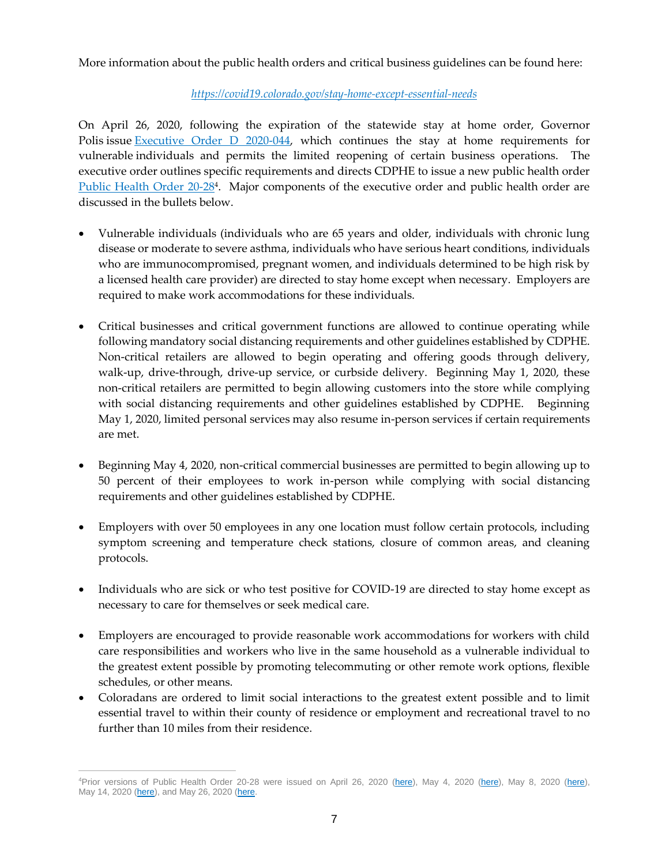More information about the public health orders and critical business guidelines can be found here:

#### *<https://covid19.colorado.gov/stay-home-except-essential-needs>*

On April 26, 2020, following the expiration of the statewide stay at home order, Governor Polis issue [Executive Order D 2020-044,](https://www.colorado.gov/governor/sites/default/files/inline-files/D%202020%20044%20Safer%20at%20Home.pdf) which continues the stay at home requirements for vulnerable individuals and permits the limited reopening of certain business operations. The executive order outlines specific requirements and directs CDPHE to issue a new public health order [Public Health Order 20-28](https://drive.google.com/file/d/1VorTaq8-pYUv3UCYvKJ0Bl7Ozhyf7nyL/view)<sup>4</sup>. Major components of the executive order and public health order are discussed in the bullets below.

- Vulnerable individuals (individuals who are 65 years and older, individuals with chronic lung disease or moderate to severe asthma, individuals who have serious heart conditions, individuals who are immunocompromised, pregnant women, and individuals determined to be high risk by a licensed health care provider) are directed to stay home except when necessary. Employers are required to make work accommodations for these individuals.
- Critical businesses and critical government functions are allowed to continue operating while following mandatory social distancing requirements and other guidelines established by CDPHE. Non-critical retailers are allowed to begin operating and offering goods through delivery, walk-up, drive-through, drive-up service, or curbside delivery. Beginning May 1, 2020, these non-critical retailers are permitted to begin allowing customers into the store while complying with social distancing requirements and other guidelines established by CDPHE. Beginning May 1, 2020, limited personal services may also resume in-person services if certain requirements are met.
- Beginning May 4, 2020, non-critical commercial businesses are permitted to begin allowing up to 50 percent of their employees to work in-person while complying with social distancing requirements and other guidelines established by CDPHE.
- Employers with over 50 employees in any one location must follow certain protocols, including symptom screening and temperature check stations, closure of common areas, and cleaning protocols.
- Individuals who are sick or who test positive for COVID-19 are directed to stay home except as necessary to care for themselves or seek medical care.
- Employers are encouraged to provide reasonable work accommodations for workers with child care responsibilities and workers who live in the same household as a vulnerable individual to the greatest extent possible by promoting telecommuting or other remote work options, flexible schedules, or other means.
- Coloradans are ordered to limit social interactions to the greatest extent possible and to limit essential travel to within their county of residence or employment and recreational travel to no further than 10 miles from their residence.

 $\overline{a}$ 

<sup>4</sup>Prior versions of Public Health Order 20-28 were issued on April 26, 2020 [\(here\)](https://drive.google.com/file/d/1WNrWhGf-8VytCBEuW5bmrSU613MrEkbD/view), May 4, 2020 (here), May 8, 2020 (here), May 14, 2020 [\(here\)](https://drive.google.com/file/d/1DwHECt-kcVBAKHqHnjlKuwAJZ9nFi0iV/view), and May 26, 2020 [\(here.](https://drive.google.com/file/d/1ieLfhoFx6RU_7tkGElC2QA_88VSfFYHj/view)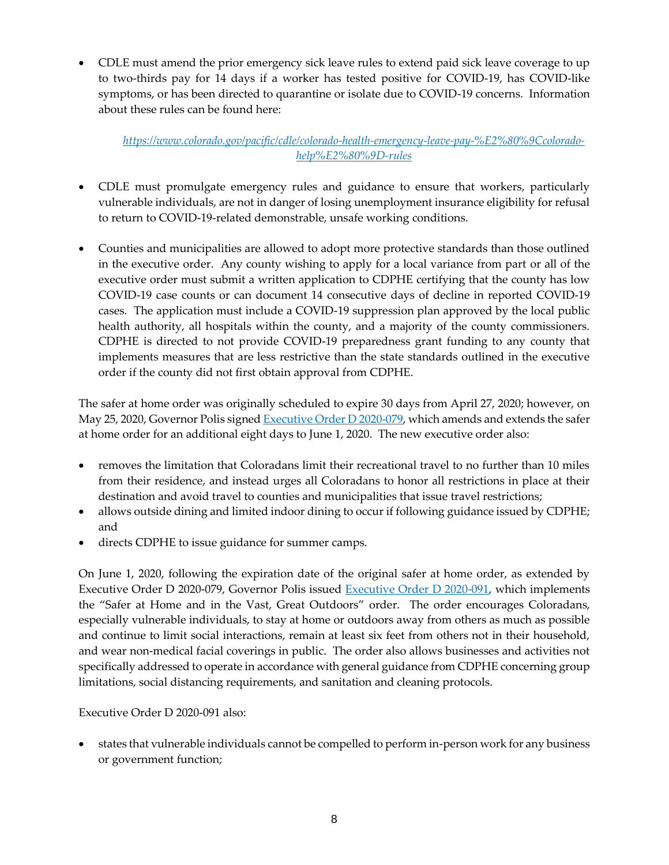CDLE must amend the prior emergency sick leave rules to extend paid sick leave coverage to up to two-thirds pay for 14 days if a worker has tested positive for COVID-19, has COVID-like symptoms, or has been directed to quarantine or isolate due to COVID-19 concerns. Information about these rules can be found here:

*[https://www.colorado.gov/pacific/cdle/colorado-health-emergency-leave-pay-%E2%80%9Ccolorado](https://www.colorado.gov/pacific/cdle/colorado-health-emergency-leave-pay-%E2%80%9Ccolorado-help%E2%80%9D-rules)[help%E2%80%9D-rules](https://www.colorado.gov/pacific/cdle/colorado-health-emergency-leave-pay-%E2%80%9Ccolorado-help%E2%80%9D-rules)*

- CDLE must promulgate emergency rules and guidance to ensure that workers, particularly vulnerable individuals, are not in danger of losing unemployment insurance eligibility for refusal to return to COVID-19-related demonstrable, unsafe working conditions.
- Counties and municipalities are allowed to adopt more protective standards than those outlined in the executive order. Any county wishing to apply for a local variance from part or all of the executive order must submit a written application to CDPHE certifying that the county has low COVID-19 case counts or can document 14 consecutive days of decline in reported COVID-19 cases. The application must include a COVID-19 suppression plan approved by the local public health authority, all hospitals within the county, and a majority of the county commissioners. CDPHE is directed to not provide COVID-19 preparedness grant funding to any county that implements measures that are less restrictive than the state standards outlined in the executive order if the county did not first obtain approval from CDPHE.

The safer at home order was originally scheduled to expire 30 days from April 27, 2020; however, on May 25, 2020, Governor Polis signed [Executive Order D 2020-079,](https://www.colorado.gov/governor/sites/default/files/inline-files/D%202020%20079%20Extending%20Safer%20At%20Home.pdf) which amends and extends the safer at home order for an additional eight days to June 1, 2020. The new executive order also:

- removes the limitation that Coloradans limit their recreational travel to no further than 10 miles from their residence, and instead urges all Coloradans to honor all restrictions in place at their destination and avoid travel to counties and municipalities that issue travel restrictions;
- allows outside dining and limited indoor dining to occur if following guidance issued by CDPHE; and
- directs CDPHE to issue guidance for summer camps.

On June 1, 2020, following the expiration date of the original safer at home order, as extended by Executive Order D 2020-079, Governor Polis issued [Executive Order D 2020-091,](https://www.colorado.gov/governor/sites/default/files/inline-files/D%202020%20091%20Safer%20at%20Home%20and%20in%20the%20Vast%2C%20Great%20Outdoors.pdf) which implements the "Safer at Home and in the Vast, Great Outdoors" order. The order encourages Coloradans, especially vulnerable individuals, to stay at home or outdoors away from others as much as possible and continue to limit social interactions, remain at least six feet from others not in their household, and wear non-medical facial coverings in public. The order also allows businesses and activities not specifically addressed to operate in accordance with general guidance from CDPHE concerning group limitations, social distancing requirements, and sanitation and cleaning protocols.

Executive Order D 2020-091 also:

 states that vulnerable individuals cannot be compelled to perform in-person work for any business or government function;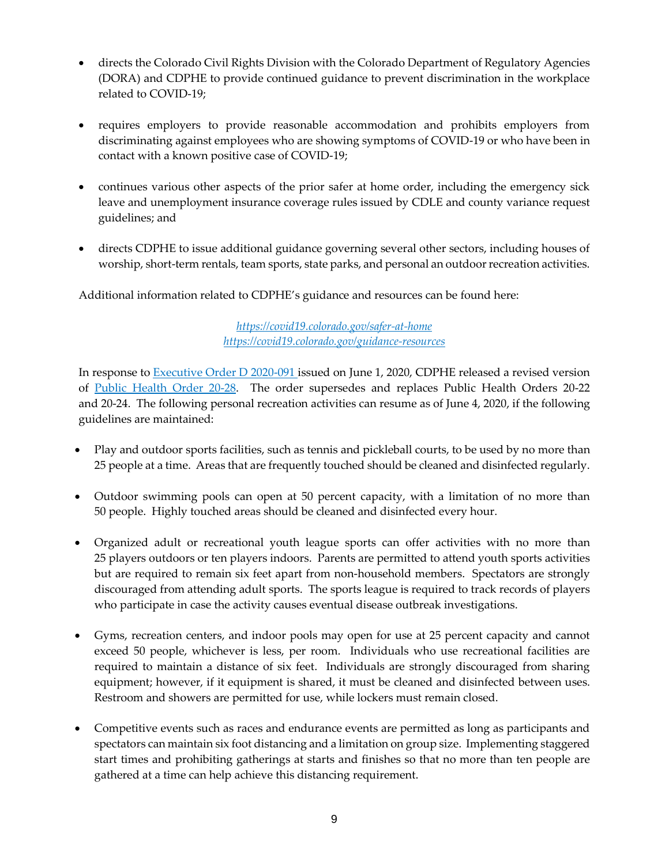- directs the Colorado Civil Rights Division with the Colorado Department of Regulatory Agencies (DORA) and CDPHE to provide continued guidance to prevent discrimination in the workplace related to COVID-19;
- requires employers to provide reasonable accommodation and prohibits employers from discriminating against employees who are showing symptoms of COVID-19 or who have been in contact with a known positive case of COVID-19;
- continues various other aspects of the prior safer at home order, including the emergency sick leave and unemployment insurance coverage rules issued by CDLE and county variance request guidelines; and
- directs CDPHE to issue additional guidance governing several other sectors, including houses of worship, short-term rentals, team sports, state parks, and personal an outdoor recreation activities.

Additional information related to CDPHE's guidance and resources can be found here:

*<https://covid19.colorado.gov/safer-at-home> <https://covid19.colorado.gov/guidance-resources>*

In response to [Executive Order D 2020-091](https://www.colorado.gov/governor/sites/default/files/inline-files/D%202020%20091%20Safer%20at%20Home%20and%20in%20the%20Vast%2C%20Great%20Outdoors.pdf) issued on June 1, 2020, CDPHE released a revised version of [Public Health Order 20-28.](https://drive.google.com/file/d/12bRFEqXa7GvzNEPIK1lQVsnz4LeRgleA/view) The order supersedes and replaces Public Health Orders 20-22 and 20-24. The following personal recreation activities can resume as of June 4, 2020, if the following guidelines are maintained:

- Play and outdoor sports facilities, such as tennis and pickleball courts, to be used by no more than 25 people at a time. Areas that are frequently touched should be cleaned and disinfected regularly.
- Outdoor swimming pools can open at 50 percent capacity, with a limitation of no more than 50 people. Highly touched areas should be cleaned and disinfected every hour.
- Organized adult or recreational youth league sports can offer activities with no more than 25 players outdoors or ten players indoors. Parents are permitted to attend youth sports activities but are required to remain six feet apart from non-household members. Spectators are strongly discouraged from attending adult sports. The sports league is required to track records of players who participate in case the activity causes eventual disease outbreak investigations.
- Gyms, recreation centers, and indoor pools may open for use at 25 percent capacity and cannot exceed 50 people, whichever is less, per room. Individuals who use recreational facilities are required to maintain a distance of six feet. Individuals are strongly discouraged from sharing equipment; however, if it equipment is shared, it must be cleaned and disinfected between uses. Restroom and showers are permitted for use, while lockers must remain closed.
- Competitive events such as races and endurance events are permitted as long as participants and spectators can maintain six foot distancing and a limitation on group size. Implementing staggered start times and prohibiting gatherings at starts and finishes so that no more than ten people are gathered at a time can help achieve this distancing requirement.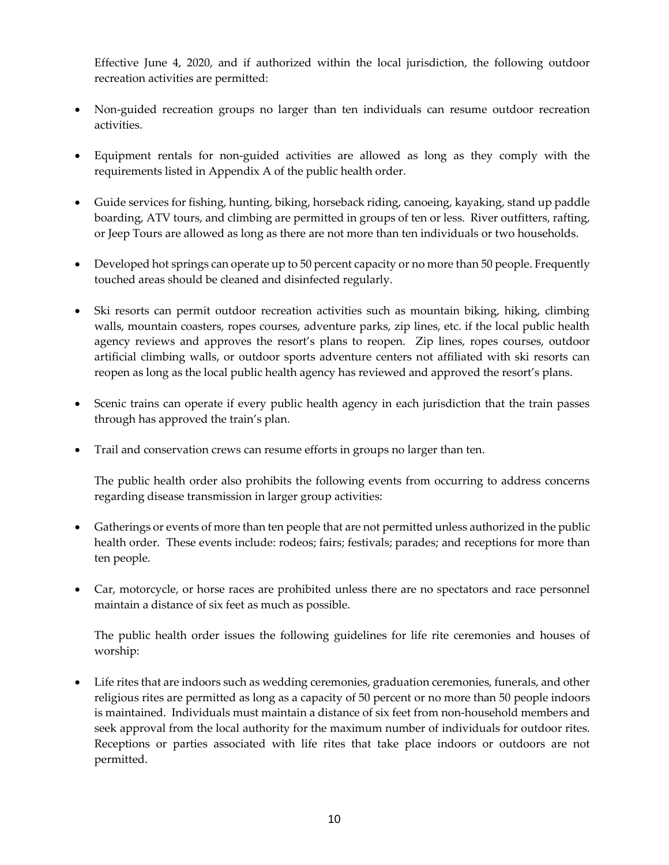Effective June 4, 2020, and if authorized within the local jurisdiction, the following outdoor recreation activities are permitted:

- Non-guided recreation groups no larger than ten individuals can resume outdoor recreation activities.
- Equipment rentals for non-guided activities are allowed as long as they comply with the requirements listed in Appendix A of the public health order.
- Guide services for fishing, hunting, biking, horseback riding, canoeing, kayaking, stand up paddle boarding, ATV tours, and climbing are permitted in groups of ten or less. River outfitters, rafting, or Jeep Tours are allowed as long as there are not more than ten individuals or two households.
- Developed hot springs can operate up to 50 percent capacity or no more than 50 people. Frequently touched areas should be cleaned and disinfected regularly.
- Ski resorts can permit outdoor recreation activities such as mountain biking, hiking, climbing walls, mountain coasters, ropes courses, adventure parks, zip lines, etc. if the local public health agency reviews and approves the resort's plans to reopen. Zip lines, ropes courses, outdoor artificial climbing walls, or outdoor sports adventure centers not affiliated with ski resorts can reopen as long as the local public health agency has reviewed and approved the resort's plans.
- Scenic trains can operate if every public health agency in each jurisdiction that the train passes through has approved the train's plan.
- Trail and conservation crews can resume efforts in groups no larger than ten.

The public health order also prohibits the following events from occurring to address concerns regarding disease transmission in larger group activities:

- Gatherings or events of more than ten people that are not permitted unless authorized in the public health order. These events include: rodeos; fairs; festivals; parades; and receptions for more than ten people.
- Car, motorcycle, or horse races are prohibited unless there are no spectators and race personnel maintain a distance of six feet as much as possible.

The public health order issues the following guidelines for life rite ceremonies and houses of worship:

 Life rites that are indoors such as wedding ceremonies, graduation ceremonies, funerals, and other religious rites are permitted as long as a capacity of 50 percent or no more than 50 people indoors is maintained. Individuals must maintain a distance of six feet from non-household members and seek approval from the local authority for the maximum number of individuals for outdoor rites. Receptions or parties associated with life rites that take place indoors or outdoors are not permitted.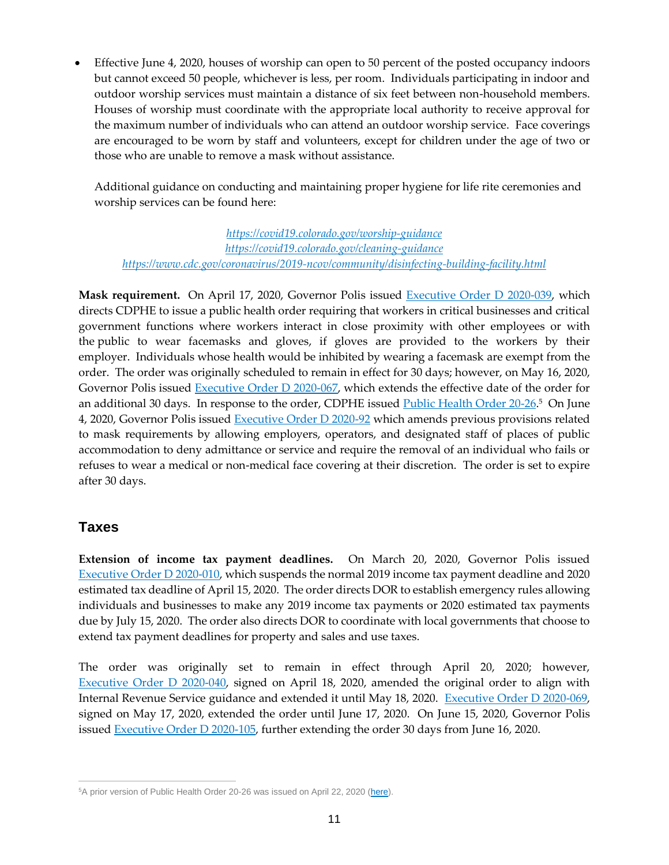Effective June 4, 2020, houses of worship can open to 50 percent of the posted occupancy indoors but cannot exceed 50 people, whichever is less, per room. Individuals participating in indoor and outdoor worship services must maintain a distance of six feet between non-household members. Houses of worship must coordinate with the appropriate local authority to receive approval for the maximum number of individuals who can attend an outdoor worship service. Face coverings are encouraged to be worn by staff and volunteers, except for children under the age of two or those who are unable to remove a mask without assistance.

Additional guidance on conducting and maintaining proper hygiene for life rite ceremonies and worship services can be found here:

*<https://covid19.colorado.gov/worship-guidance> <https://covid19.colorado.gov/cleaning-guidance> <https://www.cdc.gov/coronavirus/2019-ncov/community/disinfecting-building-facility.html>*

**Mask requirement.** On April 17, 2020, Governor Polis issued [Executive Order D 2020-039,](https://www.colorado.gov/governor/sites/default/files/inline-files/D%202020%20039%20Masks.pdf) which directs CDPHE to issue a public health order requiring that workers in critical businesses and critical government functions where workers interact in close proximity with other employees or with the public to wear facemasks and gloves, if gloves are provided to the workers by their employer. Individuals whose health would be inhibited by wearing a facemask are exempt from the order. The order was originally scheduled to remain in effect for 30 days; however, on May 16, 2020, Governor Polis issued [Executive Order D 2020-067,](https://www.colorado.gov/governor/sites/default/files/inline-files/D%202020%20067%20Extension.pdf) which extends the effective date of the order for an additional 30 days. In response to the order, CDPHE issued <u>Public Health Order 20-26.5</u> On June 4, 2020, Governor Polis issued **Executive Order D 2020-92** which amends previous provisions related to mask requirements by allowing employers, operators, and designated staff of places of public accommodation to deny admittance or service and require the removal of an individual who fails or refuses to wear a medical or non-medical face covering at their discretion. The order is set to expire after 30 days.

### **Taxes**

**Extension of income tax payment deadlines.** On March 20, 2020, Governor Polis issued [Executive Order D 2020-010,](https://www.colorado.gov/governor/sites/default/files/inline-files/D%202020%20010%20Extend%20the%20Income%20Tax%20Payment%20Deadlines_0.pdf) which suspends the normal 2019 income tax payment deadline and 2020 estimated tax deadline of April 15, 2020. The order directs DOR to establish emergency rules allowing individuals and businesses to make any 2019 income tax payments or 2020 estimated tax payments due by July 15, 2020. The order also directs DOR to coordinate with local governments that choose to extend tax payment deadlines for property and sales and use taxes.

The order was originally set to remain in effect through April 20, 2020; however, [Executive Order D 2020-040,](https://www.colorado.gov/governor/sites/default/files/inline-files/D%202020%20040%20Amending%20and%20Extending%20D%202020%20010.pdf) signed on April 18, 2020, amended the original order to align with Internal Revenue Service guidance and extended it until May 18, 2020. [Executive Order D 2020-069,](https://www.colorado.gov/governor/sites/default/files/inline-files/D%202020%20069%20Income%20Tax%20Extension.pdf) signed on May 17, 2020, extended the order until June 17, 2020. On June 15, 2020, Governor Polis issued [Executive Order D 2020-105,](https://www.colorado.gov/governor/sites/default/files/inline-files/D%202020%20105%20Income%20Tax%20Extension.pdf) further extending the order 30 days from June 16, 2020.

 $\overline{a}$ <sup>5</sup>A prior version of Public Health Order 20-26 was issued on April 22, 2020 [\(here\)](https://drive.google.com/file/d/1_jT7Nsg5ZNXdu-osPehkHoAwkdtKKxBI/view).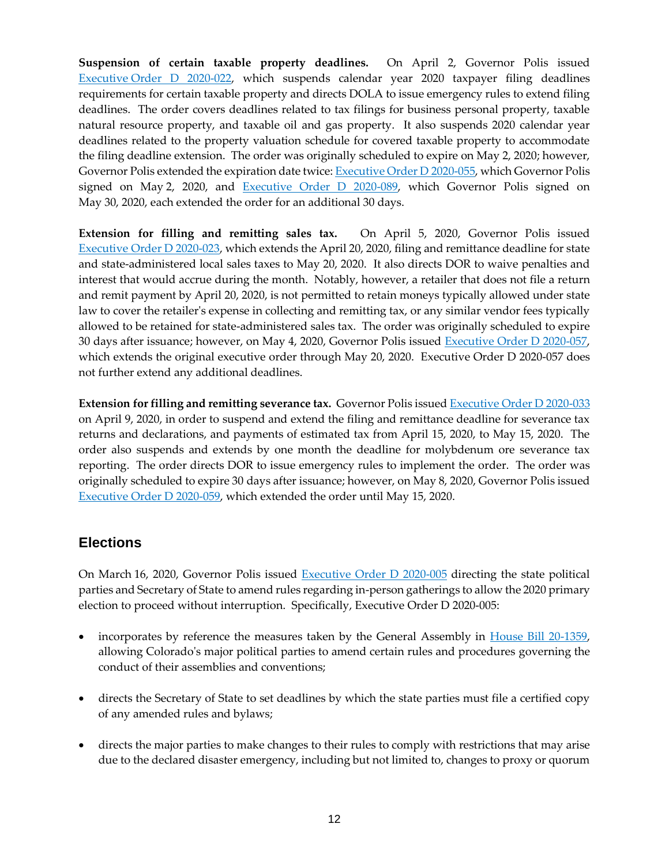**Suspension of certain taxable property deadlines.** On April 2, Governor Polis issued Executive [Order D 2020-022,](https://www.colorado.gov/governor/sites/default/files/inline-files/D%202020%20022%20Suspension%20of%20Statutes%20Concerning%20Taxpayer%20Filing%20Requirements_0.pdf) which suspends calendar year 2020 taxpayer filing deadlines requirements for certain taxable property and directs DOLA to issue emergency rules to extend filing deadlines. The order covers deadlines related to tax filings for business personal property, taxable natural resource property, and taxable oil and gas property. It also suspends 2020 calendar year deadlines related to the property valuation schedule for covered taxable property to accommodate the filing deadline extension. The order was originally scheduled to expire on May 2, 2020; however, Governor Polis extended the expiration date twice: [Executive Order D 2020-055,](https://www.colorado.gov/governor/sites/default/files/inline-files/D%202020%20055%20Extending%20D%202020%20022.pdf) which Governor Polis signed on May 2, 2020, and [Executive Order D 2020-089,](https://www.colorado.gov/governor/sites/default/files/inline-files/D%202020%20089%20Property%20Tax%20Extension.pdf) which Governor Polis signed on May 30, 2020, each extended the order for an additional 30 days.

**Extension for filling and remitting sales tax.** On April 5, 2020, Governor Polis issued Executive [Order D 2020-023,](https://www.colorado.gov/governor/sites/default/files/inline-files/D%202020%20023%20Sales%20Tax_0.pdf) which extends the April 20, 2020, filing and remittance deadline for state and state-administered local sales taxes to May 20, 2020. It also directs DOR to waive penalties and interest that would accrue during the month. Notably, however, a retailer that does not file a return and remit payment by April 20, 2020, is not permitted to retain moneys typically allowed under state law to cover the retailer's expense in collecting and remitting tax, or any similar vendor fees typically allowed to be retained for state-administered sales tax. The order was originally scheduled to expire 30 days after issuance; however, on May 4, 2020, Governor Polis issued [Executive Order D 2020-057,](https://www.colorado.gov/governor/sites/default/files/inline-files/D%202020%20057%20Sales%20Tax%20Extension.pdf) which extends the original executive order through May 20, 2020. Executive Order D 2020-057 does not further extend any additional deadlines.

**Extension for filling and remitting severance tax.** Governor Polis issue[d Executive Order D 2020-033](https://www.colorado.gov/governor/sites/default/files/inline-files/D%202020%20033%20Severance%20Tax.pdf) on April 9, 2020, in order to suspend and extend the filing and remittance deadline for severance tax returns and declarations, and payments of estimated tax from April 15, 2020, to May 15, 2020. The order also suspends and extends by one month the deadline for molybdenum ore severance tax reporting. The order directs DOR to issue emergency rules to implement the order. The order was originally scheduled to expire 30 days after issuance; however, on May 8, 2020, Governor Polis issued [Executive Order D 2020-059,](https://www.colorado.gov/governor/sites/default/files/inline-files/D%202020%20059%20Severance%20Tax%20Extension.pdf) which extended the order until May 15, 2020.

# **Elections**

On March 16, 2020, Governor Polis issued [Executive Order D 2020-005](https://www.colorado.gov/governor/sites/default/files/inline-files/D%202020%20005%20Directing%20State%20Parties%20and%20Secretary%20of%20State_0.pdf) directing the state political parties and Secretary of State to amend rules regarding in-person gatherings to allow the 2020 primary election to proceed without interruption. Specifically, Executive Order D 2020-005:

- incorporates by reference the measures taken by the General Assembly in [House Bill 20-1359,](http://leg.colorado.gov/bills/hb20-1359) allowing Colorado's major political parties to amend certain rules and procedures governing the conduct of their assemblies and conventions;
- directs the Secretary of State to set deadlines by which the state parties must file a certified copy of any amended rules and bylaws;
- directs the major parties to make changes to their rules to comply with restrictions that may arise due to the declared disaster emergency, including but not limited to, changes to proxy or quorum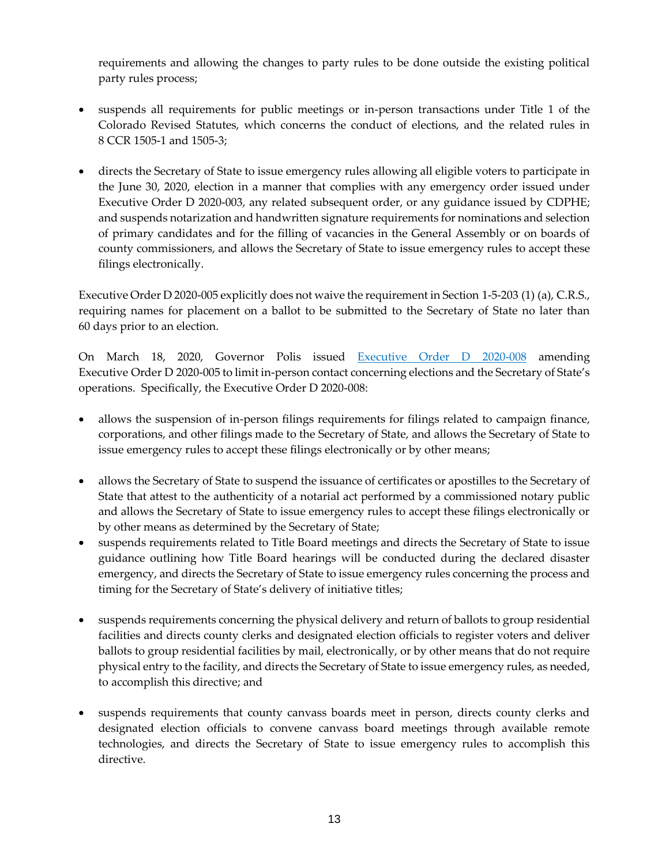requirements and allowing the changes to party rules to be done outside the existing political party rules process;

- suspends all requirements for public meetings or in-person transactions under Title 1 of the Colorado Revised Statutes, which concerns the conduct of elections, and the related rules in 8 CCR 1505-1 and 1505-3;
- directs the Secretary of State to issue emergency rules allowing all eligible voters to participate in the June 30, 2020, election in a manner that complies with any emergency order issued under Executive Order D 2020-003, any related subsequent order, or any guidance issued by CDPHE; and suspends notarization and handwritten signature requirements for nominations and selection of primary candidates and for the filling of vacancies in the General Assembly or on boards of county commissioners, and allows the Secretary of State to issue emergency rules to accept these filings electronically.

Executive Order D 2020-005 explicitly does not waive the requirement in Section 1-5-203 (1) (a), C.R.S., requiring names for placement on a ballot to be submitted to the Secretary of State no later than 60 days prior to an election.

On March 18, 2020, Governor Polis issued [Executive Order D 2020-008](https://www.colorado.gov/governor/sites/default/files/inline-files/D%202020%20008%20Limit%20In-Person%20Contact%20Concerning%20Elections_0.pdf) amending Executive Order D 2020-005 to limit in-person contact concerning elections and the Secretary of State's operations. Specifically, the Executive Order D 2020-008:

- allows the suspension of in-person filings requirements for filings related to campaign finance, corporations, and other filings made to the Secretary of State, and allows the Secretary of State to issue emergency rules to accept these filings electronically or by other means;
- allows the Secretary of State to suspend the issuance of certificates or apostilles to the Secretary of State that attest to the authenticity of a notarial act performed by a commissioned notary public and allows the Secretary of State to issue emergency rules to accept these filings electronically or by other means as determined by the Secretary of State;
- suspends requirements related to Title Board meetings and directs the Secretary of State to issue guidance outlining how Title Board hearings will be conducted during the declared disaster emergency, and directs the Secretary of State to issue emergency rules concerning the process and timing for the Secretary of State's delivery of initiative titles;
- suspends requirements concerning the physical delivery and return of ballots to group residential facilities and directs county clerks and designated election officials to register voters and deliver ballots to group residential facilities by mail, electronically, or by other means that do not require physical entry to the facility, and directs the Secretary of State to issue emergency rules, as needed, to accomplish this directive; and
- suspends requirements that county canvass boards meet in person, directs county clerks and designated election officials to convene canvass board meetings through available remote technologies, and directs the Secretary of State to issue emergency rules to accomplish this directive.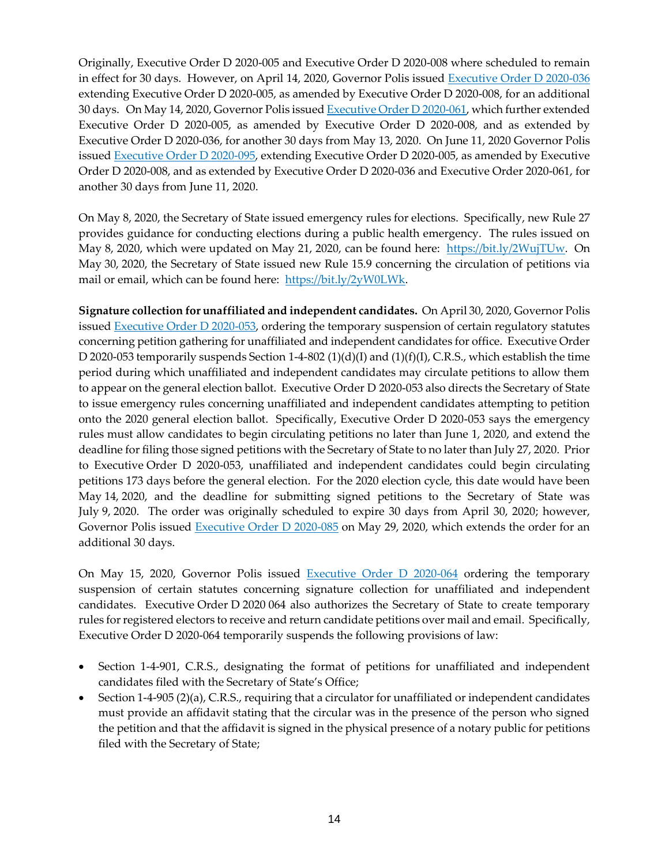Originally, Executive Order D 2020-005 and Executive Order D 2020-008 where scheduled to remain in effect for 30 days. However, on April 14, 2020, Governor Polis issued [Executive Order D 2020-036](https://www.colorado.gov/governor/sites/default/files/inline-files/D%202020%20036%20Extending%20D%202020%20005.pdf) extending Executive Order D 2020-005, as amended by Executive Order D 2020-008, for an additional 30 days. On May 14, 2020, Governor Polis issue[d Executive Order D 2020-061,](https://www.colorado.gov/governor/sites/default/files/inline-files/D%202020%20061%20Extending%20Secretary%20of%20State%20Operations.pdf) which further extended Executive Order D 2020-005, as amended by Executive Order D 2020-008, and as extended by Executive Order D 2020-036, for another 30 days from May 13, 2020. On June 11, 2020 Governor Polis issued [Executive Order D 2020-095,](https://www.colorado.gov/governor/sites/default/files/inline-files/D%202020%20095%20SOS%20operations%20Extension.pdf) extending Executive Order D 2020-005, as amended by Executive Order D 2020-008, and as extended by Executive Order D 2020-036 and Executive Order 2020-061, for another 30 days from June 11, 2020.

On May 8, 2020, the Secretary of State issued emergency rules for elections. Specifically, new Rule 27 provides guidance for conducting elections during a public health emergency. The rules issued on May 8, 2020, which were updated on May 21, 2020, can be found here: [https://bit.ly/2WujTUw.](https://bit.ly/2WujTUw) On May 30, 2020, the Secretary of State issued new Rule 15.9 concerning the circulation of petitions via mail or email, which can be found here: [https://bit.ly/2yW0LWk.](https://bit.ly/2yW0LWk)

**Signature collection for unaffiliated and independent candidates.** On April 30, 2020, Governor Polis issued [Executive Order D 2020-053,](https://www.colorado.gov/governor/sites/default/files/inline-files/D%202020%20053%20Unaffiliated%20Candidate.pdf) ordering the temporary suspension of certain regulatory statutes concerning petition gathering for unaffiliated and independent candidates for office. Executive Order D 2020-053 temporarily suspends Section 1-4-802  $(1)(d)(I)$  and  $(1)(f)(I)$ , C.R.S., which establish the time period during which unaffiliated and independent candidates may circulate petitions to allow them to appear on the general election ballot. Executive Order D 2020-053 also directs the Secretary of State to issue emergency rules concerning unaffiliated and independent candidates attempting to petition onto the 2020 general election ballot. Specifically, Executive Order D 2020-053 says the emergency rules must allow candidates to begin circulating petitions no later than June 1, 2020, and extend the deadline for filing those signed petitions with the Secretary of State to no later than July 27, 2020. Prior to Executive Order D 2020-053, unaffiliated and independent candidates could begin circulating petitions 173 days before the general election. For the 2020 election cycle, this date would have been May 14, 2020, and the deadline for submitting signed petitions to the Secretary of State was July 9, 2020. The order was originally scheduled to expire 30 days from April 30, 2020; however, Governor Polis issued [Executive Order D 2020-085](https://www.colorado.gov/governor/sites/default/files/inline-files/D%202020%20085%20Unafilliated%20Candidate%20Extension.pdf) on May 29, 2020, which extends the order for an additional 30 days.

On May 15, 2020, Governor Polis issued [Executive Order D 2020-064](https://www.colorado.gov/governor/sites/default/files/inline-files/D%202020%20064%20Candidate%20Signatures.pdf) ordering the temporary suspension of certain statutes concerning signature collection for unaffiliated and independent candidates. Executive Order D 2020 064 also authorizes the Secretary of State to create temporary rules for registered electors to receive and return candidate petitions over mail and email. Specifically, Executive Order D 2020-064 temporarily suspends the following provisions of law:

- Section 1-4-901, C.R.S., designating the format of petitions for unaffiliated and independent candidates filed with the Secretary of State's Office;
- Section 1-4-905 (2)(a), C.R.S., requiring that a circulator for unaffiliated or independent candidates must provide an affidavit stating that the circular was in the presence of the person who signed the petition and that the affidavit is signed in the physical presence of a notary public for petitions filed with the Secretary of State;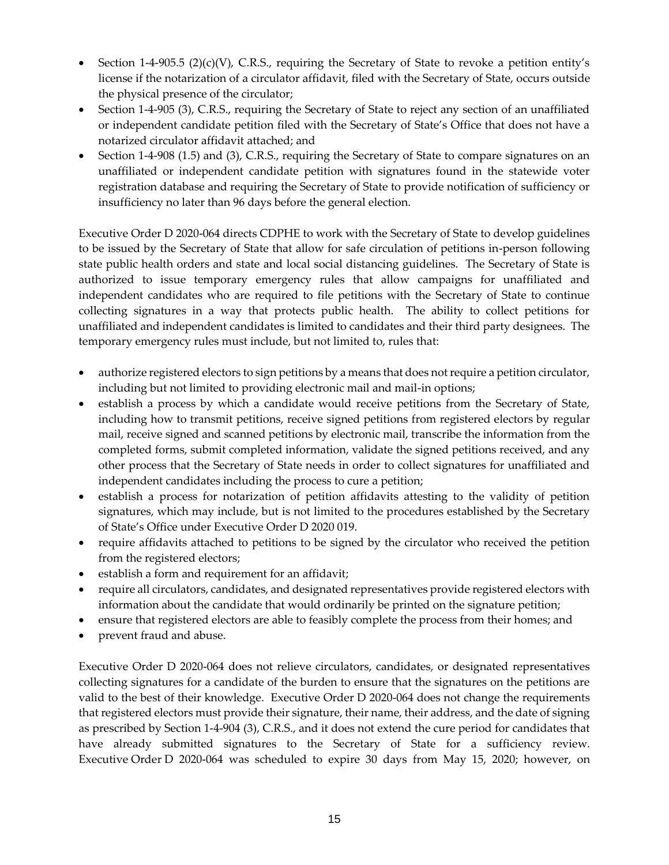- Section 1-4-905.5 (2)(c)(V), C.R.S., requiring the Secretary of State to revoke a petition entity's license if the notarization of a circulator affidavit, filed with the Secretary of State, occurs outside the physical presence of the circulator;
- Section 1-4-905 (3), C.R.S., requiring the Secretary of State to reject any section of an unaffiliated or independent candidate petition filed with the Secretary of State's Office that does not have a notarized circulator affidavit attached; and
- Section 1-4-908 (1.5) and (3), C.R.S., requiring the Secretary of State to compare signatures on an unaffiliated or independent candidate petition with signatures found in the statewide voter registration database and requiring the Secretary of State to provide notification of sufficiency or insufficiency no later than 96 days before the general election.

Executive Order D 2020-064 directs CDPHE to work with the Secretary of State to develop guidelines to be issued by the Secretary of State that allow for safe circulation of petitions in-person following state public health orders and state and local social distancing guidelines. The Secretary of State is authorized to issue temporary emergency rules that allow campaigns for unaffiliated and independent candidates who are required to file petitions with the Secretary of State to continue collecting signatures in a way that protects public health. The ability to collect petitions for unaffiliated and independent candidates is limited to candidates and their third party designees. The temporary emergency rules must include, but not limited to, rules that:

- authorize registered electors to sign petitions by a means that does not require a petition circulator, including but not limited to providing electronic mail and mail-in options;
- establish a process by which a candidate would receive petitions from the Secretary of State, including how to transmit petitions, receive signed petitions from registered electors by regular mail, receive signed and scanned petitions by electronic mail, transcribe the information from the completed forms, submit completed information, validate the signed petitions received, and any other process that the Secretary of State needs in order to collect signatures for unaffiliated and independent candidates including the process to cure a petition;
- establish a process for notarization of petition affidavits attesting to the validity of petition signatures, which may include, but is not limited to the procedures established by the Secretary of State's Office under Executive Order D 2020 019.
- require affidavits attached to petitions to be signed by the circulator who received the petition from the registered electors;
- establish a form and requirement for an affidavit;
- require all circulators, candidates, and designated representatives provide registered electors with information about the candidate that would ordinarily be printed on the signature petition;
- ensure that registered electors are able to feasibly complete the process from their homes; and
- prevent fraud and abuse.

Executive Order D 2020-064 does not relieve circulators, candidates, or designated representatives collecting signatures for a candidate of the burden to ensure that the signatures on the petitions are valid to the best of their knowledge. Executive Order D 2020-064 does not change the requirements that registered electors must provide their signature, their name, their address, and the date of signing as prescribed by Section 1-4-904 (3), C.R.S., and it does not extend the cure period for candidates that have already submitted signatures to the Secretary of State for a sufficiency review. Executive Order D 2020-064 was scheduled to expire 30 days from May 15, 2020; however, on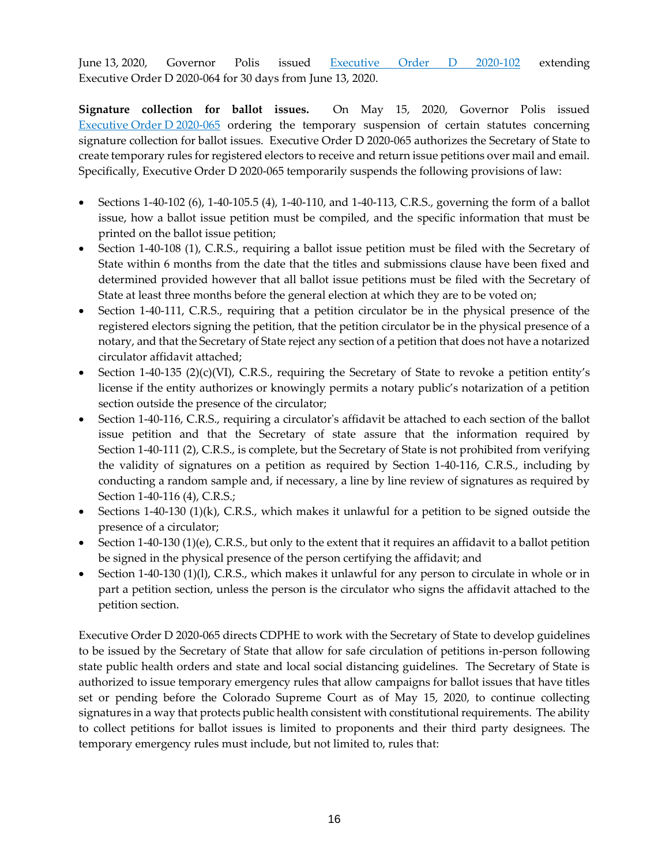June 13, 2020, Governor Polis issued [Executive Order D 2020-102](https://www.colorado.gov/governor/sites/default/files/inline-files/D%202020%20102%20Candidate%20Signatures%20Extension.pdf) extending Executive Order D 2020-064 for 30 days from June 13, 2020.

**Signature collection for ballot issues.** On May 15, 2020, Governor Polis issued [Executive](https://www.colorado.gov/governor/sites/default/files/inline-files/D%202020%20065%20Ballot%20Issue%20Signatures.pdf) Order D 2020-065 ordering the temporary suspension of certain statutes concerning signature collection for ballot issues. Executive Order D 2020-065 authorizes the Secretary of State to create temporary rules for registered electors to receive and return issue petitions over mail and email. Specifically, Executive Order D 2020-065 temporarily suspends the following provisions of law:

- Sections 1-40-102 (6), 1-40-105.5 (4), 1-40-110, and 1-40-113, C.R.S., governing the form of a ballot issue, how a ballot issue petition must be compiled, and the specific information that must be printed on the ballot issue petition;
- Section 1-40-108 (1), C.R.S., requiring a ballot issue petition must be filed with the Secretary of State within 6 months from the date that the titles and submissions clause have been fixed and determined provided however that all ballot issue petitions must be filed with the Secretary of State at least three months before the general election at which they are to be voted on;
- Section 1-40-111, C.R.S., requiring that a petition circulator be in the physical presence of the registered electors signing the petition, that the petition circulator be in the physical presence of a notary, and that the Secretary of State reject any section of a petition that does not have a notarized circulator affidavit attached;
- Section 1-40-135 (2)(c)(VI), C.R.S., requiring the Secretary of State to revoke a petition entity's license if the entity authorizes or knowingly permits a notary public's notarization of a petition section outside the presence of the circulator;
- Section 1-40-116, C.R.S., requiring a circulator's affidavit be attached to each section of the ballot issue petition and that the Secretary of state assure that the information required by Section 1-40-111 (2), C.R.S., is complete, but the Secretary of State is not prohibited from verifying the validity of signatures on a petition as required by Section 1-40-116, C.R.S., including by conducting a random sample and, if necessary, a line by line review of signatures as required by Section 1-40-116 (4), C.R.S.;
- Sections 1-40-130 (1)(k), C.R.S., which makes it unlawful for a petition to be signed outside the presence of a circulator;
- Section 1-40-130 (1)(e), C.R.S., but only to the extent that it requires an affidavit to a ballot petition be signed in the physical presence of the person certifying the affidavit; and
- Section 1-40-130 (1)(l), C.R.S., which makes it unlawful for any person to circulate in whole or in part a petition section, unless the person is the circulator who signs the affidavit attached to the petition section.

Executive Order D 2020-065 directs CDPHE to work with the Secretary of State to develop guidelines to be issued by the Secretary of State that allow for safe circulation of petitions in-person following state public health orders and state and local social distancing guidelines. The Secretary of State is authorized to issue temporary emergency rules that allow campaigns for ballot issues that have titles set or pending before the Colorado Supreme Court as of May 15, 2020, to continue collecting signatures in a way that protects public health consistent with constitutional requirements. The ability to collect petitions for ballot issues is limited to proponents and their third party designees. The temporary emergency rules must include, but not limited to, rules that: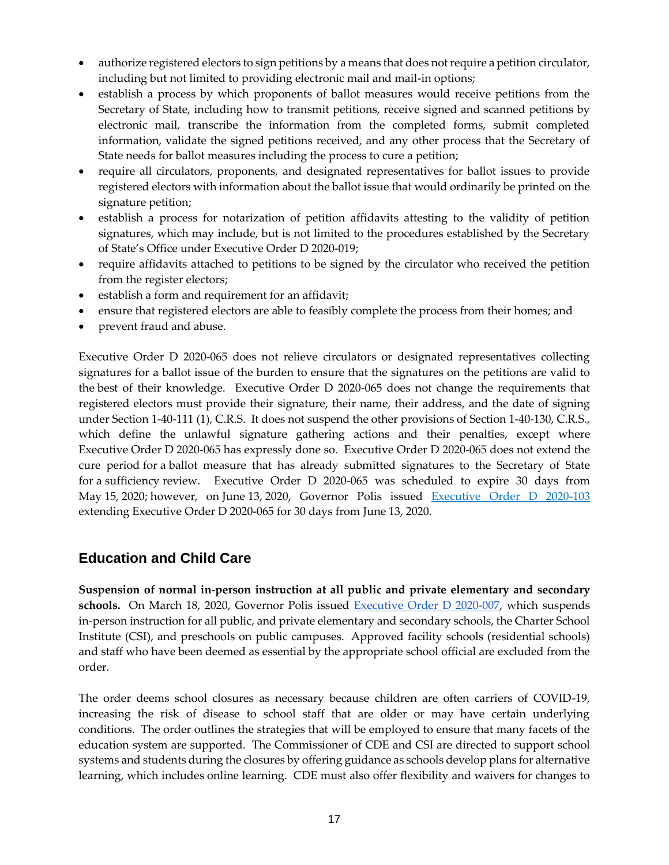- authorize registered electors to sign petitions by a means that does not require a petition circulator, including but not limited to providing electronic mail and mail-in options;
- establish a process by which proponents of ballot measures would receive petitions from the Secretary of State, including how to transmit petitions, receive signed and scanned petitions by electronic mail, transcribe the information from the completed forms, submit completed information, validate the signed petitions received, and any other process that the Secretary of State needs for ballot measures including the process to cure a petition;
- require all circulators, proponents, and designated representatives for ballot issues to provide registered electors with information about the ballot issue that would ordinarily be printed on the signature petition;
- establish a process for notarization of petition affidavits attesting to the validity of petition signatures, which may include, but is not limited to the procedures established by the Secretary of State's Office under Executive Order D 2020-019;
- require affidavits attached to petitions to be signed by the circulator who received the petition from the register electors;
- establish a form and requirement for an affidavit;
- ensure that registered electors are able to feasibly complete the process from their homes; and
- prevent fraud and abuse.

Executive Order D 2020-065 does not relieve circulators or designated representatives collecting signatures for a ballot issue of the burden to ensure that the signatures on the petitions are valid to the best of their knowledge. Executive Order D 2020-065 does not change the requirements that registered electors must provide their signature, their name, their address, and the date of signing under Section 1-40-111 (1), C.R.S. It does not suspend the other provisions of Section 1-40-130, C.R.S., which define the unlawful signature gathering actions and their penalties, except where Executive Order D 2020-065 has expressly done so. Executive Order D 2020-065 does not extend the cure period for a ballot measure that has already submitted signatures to the Secretary of State for a sufficiency review. Executive Order D 2020-065 was scheduled to expire 30 days from May 15, 2020; however, on June 13, 2020, Governor Polis issued [Executive Order D 2020-103](https://www.colorado.gov/governor/sites/default/files/inline-files/D%202020%20103%20Ballot%20Issue%20Extension.pdf) extending Executive Order D 2020-065 for 30 days from June 13, 2020.

# **Education and Child Care**

**Suspension of normal in-person instruction at all public and private elementary and secondary**  schools. On March 18, 2020, Governor Polis issued [Executive Order D 2020-007,](https://drive.google.com/file/d/1n29TrYiaG7spzeP-QqAPzBiO_TJ4N7Cc/view) which suspends in-person instruction for all public, and private elementary and secondary schools, the Charter School Institute (CSI), and preschools on public campuses. Approved facility schools (residential schools) and staff who have been deemed as essential by the appropriate school official are excluded from the order.

The order deems school closures as necessary because children are often carriers of COVID-19, increasing the risk of disease to school staff that are older or may have certain underlying conditions. The order outlines the strategies that will be employed to ensure that many facets of the education system are supported. The Commissioner of CDE and CSI are directed to support school systems and students during the closures by offering guidance as schools develop plans for alternative learning, which includes online learning. CDE must also offer flexibility and waivers for changes to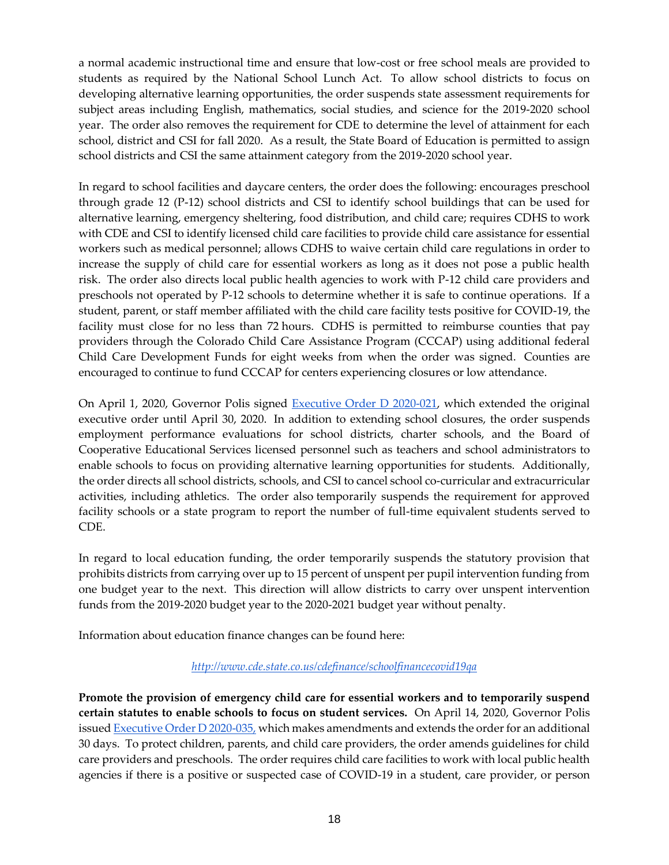a normal academic instructional time and ensure that low-cost or free school meals are provided to students as required by the National School Lunch Act. To allow school districts to focus on developing alternative learning opportunities, the order suspends state assessment requirements for subject areas including English, mathematics, social studies, and science for the 2019-2020 school year. The order also removes the requirement for CDE to determine the level of attainment for each school, district and CSI for fall 2020. As a result, the State Board of Education is permitted to assign school districts and CSI the same attainment category from the 2019-2020 school year.

In regard to school facilities and daycare centers, the order does the following: encourages preschool through grade 12 (P-12) school districts and CSI to identify school buildings that can be used for alternative learning, emergency sheltering, food distribution, and child care; requires CDHS to work with CDE and CSI to identify licensed child care facilities to provide child care assistance for essential workers such as medical personnel; allows CDHS to waive certain child care regulations in order to increase the supply of child care for essential workers as long as it does not pose a public health risk. The order also directs local public health agencies to work with P-12 child care providers and preschools not operated by P-12 schools to determine whether it is safe to continue operations. If a student, parent, or staff member affiliated with the child care facility tests positive for COVID-19, the facility must close for no less than 72 hours. CDHS is permitted to reimburse counties that pay providers through the Colorado Child Care Assistance Program (CCCAP) using additional federal Child Care Development Funds for eight weeks from when the order was signed. Counties are encouraged to continue to fund CCCAP for centers experiencing closures or low attendance.

On April 1, 2020, Governor Polis signed [Executive Order D 2020-021,](https://www.colorado.gov/governor/sites/default/files/inline-files/D%202020%20021%20P-12%20Extension_0.pdf) which extended the original executive order until April 30, 2020. In addition to extending school closures, the order suspends employment performance evaluations for school districts, charter schools, and the Board of Cooperative Educational Services licensed personnel such as teachers and school administrators to enable schools to focus on providing alternative learning opportunities for students. Additionally, the order directs all school districts, schools, and CSI to cancel school co-curricular and extracurricular activities, including athletics. The order also temporarily suspends the requirement for approved facility schools or a state program to report the number of full-time equivalent students served to CDE.

In regard to local education funding, the order temporarily suspends the statutory provision that prohibits districts from carrying over up to 15 percent of unspent per pupil intervention funding from one budget year to the next. This direction will allow districts to carry over unspent intervention funds from the 2019-2020 budget year to the 2020-2021 budget year without penalty.

Information about education finance changes can be found here:

#### *<http://www.cde.state.co.us/cdefinance/schoolfinancecovid19qa>*

**Promote the provision of emergency child care for essential workers and to temporarily suspend certain statutes to enable schools to focus on student services.** On April 14, 2020, Governor Polis issued [Executive Order D 2020-035,](https://www.colorado.gov/governor/sites/default/files/inline-files/D%202020%20035%20Childcare%20and%20Schools.pdf) which makes amendments and extends the order for an additional 30 days. To protect children, parents, and child care providers, the order amends guidelines for child care providers and preschools. The order requires child care facilities to work with local public health agencies if there is a positive or suspected case of COVID-19 in a student, care provider, or person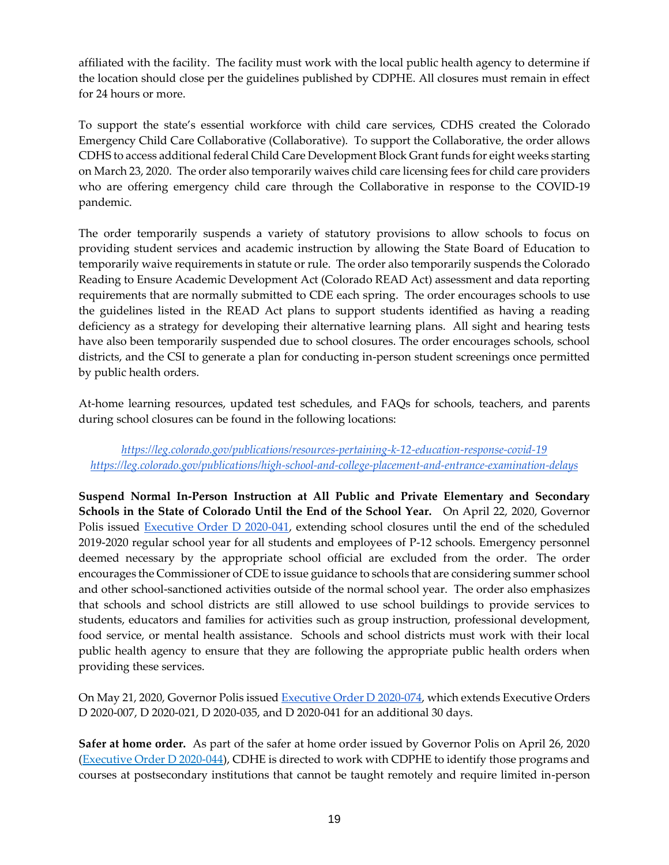affiliated with the facility. The facility must work with the local public health agency to determine if the location should close per the guidelines published by CDPHE. All closures must remain in effect for 24 hours or more.

To support the state's essential workforce with child care services, CDHS created the Colorado Emergency Child Care Collaborative (Collaborative). To support the Collaborative, the order allows CDHS to access additional federal Child Care Development Block Grant funds for eight weeks starting on March 23, 2020. The order also temporarily waives child care licensing fees for child care providers who are offering emergency child care through the Collaborative in response to the COVID-19 pandemic.

The order temporarily suspends a variety of statutory provisions to allow schools to focus on providing student services and academic instruction by allowing the State Board of Education to temporarily waive requirements in statute or rule. The order also temporarily suspends the Colorado Reading to Ensure Academic Development Act (Colorado READ Act) assessment and data reporting requirements that are normally submitted to CDE each spring. The order encourages schools to use the guidelines listed in the READ Act plans to support students identified as having a reading deficiency as a strategy for developing their alternative learning plans. All sight and hearing tests have also been temporarily suspended due to school closures. The order encourages schools, school districts, and the CSI to generate a plan for conducting in-person student screenings once permitted by public health orders.

At-home learning resources, updated test schedules, and FAQs for schools, teachers, and parents during school closures can be found in the following locations:

*<https://leg.colorado.gov/publications/resources-pertaining-k-12-education-response-covid-19> <https://leg.colorado.gov/publications/high-school-and-college-placement-and-entrance-examination-delays>*

**Suspend Normal In-Person Instruction at All Public and Private Elementary and Secondary Schools in the State of Colorado Until the End of the School Year.** On April 22, 2020, Governor Polis issued [Executive Order D 2020-041,](https://www.colorado.gov/governor/sites/default/files/inline-files/D%202020%20041%20P-12%20Closure%20Extension%20End%20of%20Year.pdf) extending school closures until the end of the scheduled 2019-2020 regular school year for all students and employees of P-12 schools. Emergency personnel deemed necessary by the appropriate school official are excluded from the order. The order encourages the Commissioner of CDE to issue guidance to schools that are considering summer school and other school-sanctioned activities outside of the normal school year. The order also emphasizes that schools and school districts are still allowed to use school buildings to provide services to students, educators and families for activities such as group instruction, professional development, food service, or mental health assistance. Schools and school districts must work with their local public health agency to ensure that they are following the appropriate public health orders when providing these services.

On May 21, 2020, Governor Polis issue[d Executive Order D 2020-074,](https://www.colorado.gov/governor/sites/default/files/inline-files/D%202020%20074%20Extending%20School%20Closures.pdf) which extends Executive Orders D 2020-007, D 2020-021, D 2020-035, and D 2020-041 for an additional 30 days.

**Safer at home order.** As part of the safer at home order issued by Governor Polis on April 26, 2020 [\(Executive Order D 2020-044\)](https://www.colorado.gov/governor/sites/default/files/inline-files/D%202020%20044%20Safer%20at%20Home.pdf), CDHE is directed to work with CDPHE to identify those programs and courses at postsecondary institutions that cannot be taught remotely and require limited in-person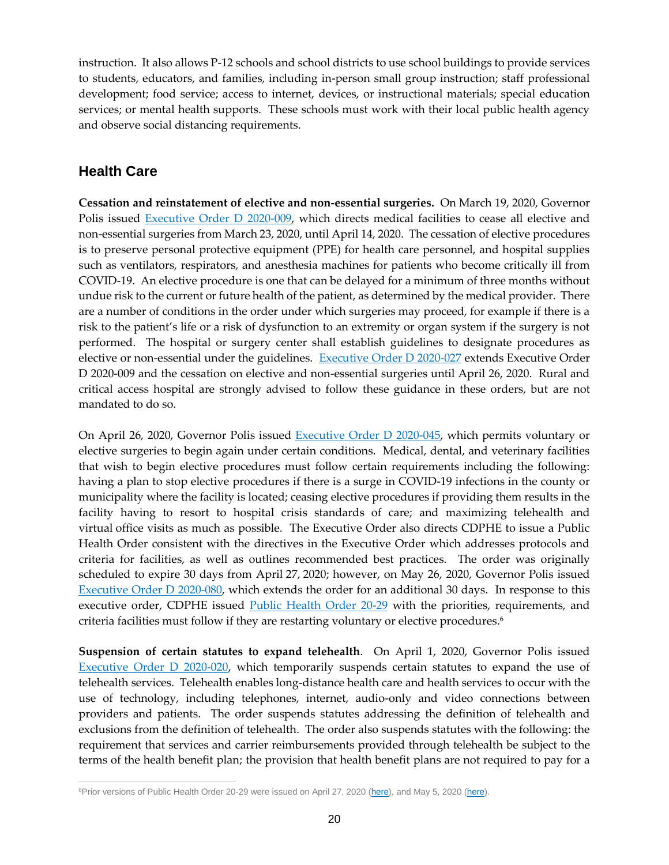instruction. It also allows P-12 schools and school districts to use school buildings to provide services to students, educators, and families, including in-person small group instruction; staff professional development; food service; access to internet, devices, or instructional materials; special education services; or mental health supports. These schools must work with their local public health agency and observe social distancing requirements.

# **Health Care**

**Cessation and reinstatement of elective and non-essential surgeries.** On March 19, 2020, Governor Polis issued [Executive Order D 2020-009,](https://www.colorado.gov/governor/sites/default/files/inline-files/D%202020%20009%20Ordering%20Cessation%20of%20All%20Elective%20Surgeries_0.pdf) which directs medical facilities to cease all elective and non-essential surgeries from March 23, 2020, until April 14, 2020. The cessation of elective procedures is to preserve personal protective equipment (PPE) for health care personnel, and hospital supplies such as ventilators, respirators, and anesthesia machines for patients who become critically ill from COVID-19. An elective procedure is one that can be delayed for a minimum of three months without undue risk to the current or future health of the patient, as determined by the medical provider. There are a number of conditions in the order under which surgeries may proceed, for example if there is a risk to the patient's life or a risk of dysfunction to an extremity or organ system if the surgery is not performed. The hospital or surgery center shall establish guidelines to designate procedures as elective or non-essential under the guidelines. [Executive Order D 2020-027](https://www.colorado.gov/governor/sites/default/files/inline-files/D%202020%20027%20Elective%20Surgeries_0.pdf) extends Executive Order D 2020-009 and the cessation on elective and non-essential surgeries until April 26, 2020. Rural and critical access hospital are strongly advised to follow these guidance in these orders, but are not mandated to do so.

On April 26, 2020, Governor Polis issued [Executive Order D 2020-045,](https://www.colorado.gov/governor/sites/default/files/inline-files/D%202020%20045%20Elective%20Surgeries_0.pdf) which permits voluntary or elective surgeries to begin again under certain conditions. Medical, dental, and veterinary facilities that wish to begin elective procedures must follow certain requirements including the following: having a plan to stop elective procedures if there is a surge in COVID-19 infections in the county or municipality where the facility is located; ceasing elective procedures if providing them results in the facility having to resort to hospital crisis standards of care; and maximizing telehealth and virtual office visits as much as possible. The Executive Order also directs CDPHE to issue a Public Health Order consistent with the directives in the Executive Order which addresses protocols and criteria for facilities, as well as outlines recommended best practices. The order was originally scheduled to expire 30 days from April 27, 2020; however, on May 26, 2020, Governor Polis issued [Executive Order D 2020-080,](https://www.colorado.gov/governor/sites/default/files/inline-files/D%202020%20080%20Elective%20Surgeries%20Extension.pdf) which extends the order for an additional 30 days. In response to this executive order, CDPHE issued **Public Health Order 20-29** with the priorities, requirements, and criteria facilities must follow if they are restarting voluntary or elective procedures. 6

**Suspension of certain statutes to expand telehealth**. On April 1, 2020, Governor Polis issued [Executive Order D 2020-020,](https://www.colorado.gov/governor/sites/default/files/inline-files/D%202020%20020%20Telehealth_0.pdf) which temporarily suspends certain statutes to expand the use of telehealth services. Telehealth enables long-distance health care and health services to occur with the use of technology, including telephones, internet, audio-only and video connections between providers and patients. The order suspends statutes addressing the definition of telehealth and exclusions from the definition of telehealth. The order also suspends statutes with the following: the requirement that services and carrier reimbursements provided through telehealth be subject to the terms of the health benefit plan; the provision that health benefit plans are not required to pay for a

 $\overline{a}$ <sup>6</sup>Prior versions of Public Health Order 20-29 were issued on April 27, 2020 [\(here\)](https://drive.google.com/file/d/1Z7mRvwd4ibpvEwkXir4rjubFkcIA1U3F/view), and May 5, 2020 (here).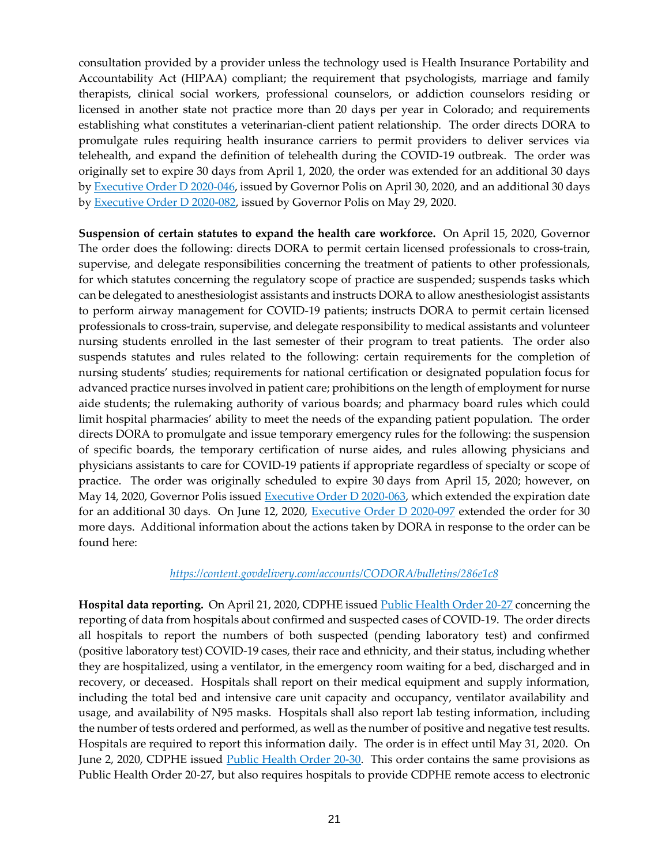consultation provided by a provider unless the technology used is Health Insurance Portability and Accountability Act (HIPAA) compliant; the requirement that psychologists, marriage and family therapists, clinical social workers, professional counselors, or addiction counselors residing or licensed in another state not practice more than 20 days per year in Colorado; and requirements establishing what constitutes a veterinarian-client patient relationship. The order directs DORA to promulgate rules requiring health insurance carriers to permit providers to deliver services via telehealth, and expand the definition of telehealth during the COVID-19 outbreak. The order was originally set to expire 30 days from April 1, 2020, the order was extended for an additional 30 days by [Executive Order D 2020-046,](https://www.colorado.gov/governor/sites/default/files/inline-files/D%202020%20046%20Telehealth%20Extension.pdf) issued by Governor Polis on April 30, 2020, and an additional 30 days by [Executive Order D 2020-082,](https://www.colorado.gov/governor/sites/default/files/inline-files/D%202020%20082%20Telehealth%20Extension.pdf) issued by Governor Polis on May 29, 2020.

**Suspension of certain statutes to expand the health care workforce.** On April 15, 2020, Governor The order does the following: directs DORA to permit certain licensed professionals to cross-train, supervise, and delegate responsibilities concerning the treatment of patients to other professionals, for which statutes concerning the regulatory scope of practice are suspended; suspends tasks which can be delegated to anesthesiologist assistants and instructs DORA to allow anesthesiologist assistants to perform airway management for COVID-19 patients; instructs DORA to permit certain licensed professionals to cross-train, supervise, and delegate responsibility to medical assistants and volunteer nursing students enrolled in the last semester of their program to treat patients. The order also suspends statutes and rules related to the following: certain requirements for the completion of nursing students' studies; requirements for national certification or designated population focus for advanced practice nurses involved in patient care; prohibitions on the length of employment for nurse aide students; the rulemaking authority of various boards; and pharmacy board rules which could limit hospital pharmacies' ability to meet the needs of the expanding patient population. The order directs DORA to promulgate and issue temporary emergency rules for the following: the suspension of specific boards, the temporary certification of nurse aides, and rules allowing physicians and physicians assistants to care for COVID-19 patients if appropriate regardless of specialty or scope of practice. The order was originally scheduled to expire 30 days from April 15, 2020; however, on May 14, 2020, Governor Polis issued [Executive Order D 2020-063,](https://www.colorado.gov/governor/sites/default/files/inline-files/D%202020%20063%20Medical%20Surge%20Extension.pdf) which extended the expiration date for an additional 30 days. On June 12, 2020, [Executive Order D 2020-097](https://www.colorado.gov/governor/sites/default/files/inline-files/D%202020%20097%20Expand%20Healthcare%20Workforce%20FINAL.pdf) extended the order for 30 more days. Additional information about the actions taken by DORA in response to the order can be found here:

#### *<https://content.govdelivery.com/accounts/CODORA/bulletins/286e1c8>*

**Hospital data reporting.** On April 21, 2020, CDPHE issue[d Public Health Order 20-27](https://drive.google.com/file/d/1zLjBH6f3TOfnDmunwaLrQ3xrXCPJgXv7/view) concerning the reporting of data from hospitals about confirmed and suspected cases of COVID-19. The order directs all hospitals to report the numbers of both suspected (pending laboratory test) and confirmed (positive laboratory test) COVID-19 cases, their race and ethnicity, and their status, including whether they are hospitalized, using a ventilator, in the emergency room waiting for a bed, discharged and in recovery, or deceased. Hospitals shall report on their medical equipment and supply information, including the total bed and intensive care unit capacity and occupancy, ventilator availability and usage, and availability of N95 masks. Hospitals shall also report lab testing information, including the number of tests ordered and performed, as well as the number of positive and negative test results. Hospitals are required to report this information daily. The order is in effect until May 31, 2020. On June 2, 2020, CDPHE issued [Public Health Order 20-30.](https://drive.google.com/file/d/11IFCxlrzJDYFGmo5wH_TckKXSk9f3hv1/view) This order contains the same provisions as Public Health Order 20-27, but also requires hospitals to provide CDPHE remote access to electronic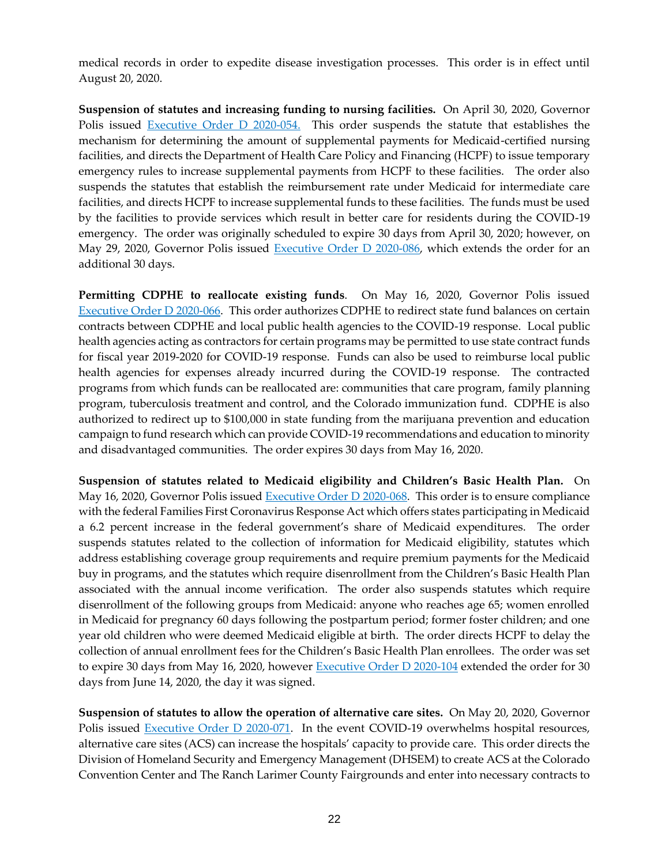medical records in order to expedite disease investigation processes. This order is in effect until August 20, 2020.

**Suspension of statutes and increasing funding to nursing facilities.** On April 30, 2020, Governor Polis issued [Executive Order D 2020-054.](https://www.colorado.gov/governor/sites/default/files/inline-files/D%202020%20054%20Medicaid%20Provider%20Payment.pdf) This order suspends the statute that establishes the mechanism for determining the amount of supplemental payments for Medicaid-certified nursing facilities, and directs the Department of Health Care Policy and Financing (HCPF) to issue temporary emergency rules to increase supplemental payments from HCPF to these facilities. The order also suspends the statutes that establish the reimbursement rate under Medicaid for intermediate care facilities, and directs HCPF to increase supplemental funds to these facilities. The funds must be used by the facilities to provide services which result in better care for residents during the COVID-19 emergency. The order was originally scheduled to expire 30 days from April 30, 2020; however, on May 29, 2020, Governor Polis issued [Executive Order D 2020-086,](https://www.colorado.gov/governor/sites/default/files/inline-files/D%202020%20086%20Medicaid%20Extension.pdf) which extends the order for an additional 30 days.

**Permitting CDPHE to reallocate existing funds**. On May 16, 2020, Governor Polis issued Executive [Order D 2020-066.](https://www.colorado.gov/governor/sites/default/files/inline-files/D%202020%20066%20LPHA.pdf) This order authorizes CDPHE to redirect state fund balances on certain contracts between CDPHE and local public health agencies to the COVID-19 response. Local public health agencies acting as contractors for certain programs may be permitted to use state contract funds for fiscal year 2019-2020 for COVID-19 response. Funds can also be used to reimburse local public health agencies for expenses already incurred during the COVID-19 response. The contracted programs from which funds can be reallocated are: communities that care program, family planning program, tuberculosis treatment and control, and the Colorado immunization fund. CDPHE is also authorized to redirect up to \$100,000 in state funding from the marijuana prevention and education campaign to fund research which can provide COVID-19 recommendations and education to minority and disadvantaged communities. The order expires 30 days from May 16, 2020.

**Suspension of statutes related to Medicaid eligibility and Children's Basic Health Plan.** On May 16, 2020, Governor Polis issued [Executive Order D 2020-068.](https://www.colorado.gov/governor/sites/default/files/inline-files/D%202020%20068%20Medicaid%20Eligibility_0.pdf) This order is to ensure compliance with the federal Families First Coronavirus Response Act which offers states participating in Medicaid a 6.2 percent increase in the federal government's share of Medicaid expenditures. The order suspends statutes related to the collection of information for Medicaid eligibility, statutes which address establishing coverage group requirements and require premium payments for the Medicaid buy in programs, and the statutes which require disenrollment from the Children's Basic Health Plan associated with the annual income verification. The order also suspends statutes which require disenrollment of the following groups from Medicaid: anyone who reaches age 65; women enrolled in Medicaid for pregnancy 60 days following the postpartum period; former foster children; and one year old children who were deemed Medicaid eligible at birth. The order directs HCPF to delay the collection of annual enrollment fees for the Children's Basic Health Plan enrollees. The order was set to expire 30 days from May 16, 2020, however [Executive Order D 2020-104](https://www.colorado.gov/governor/sites/default/files/inline-files/D%202020%20104%20Medicaid%20Eligibility%20Extension.pdf) extended the order for 30 days from June 14, 2020, the day it was signed.

**Suspension of statutes to allow the operation of alternative care sites.** On May 20, 2020, Governor Polis issued [Executive Order D 2020-071.](https://www.colorado.gov/governor/sites/default/files/inline-files/D%202020%20071%20Alternate%20Facilities.pdf) In the event COVID-19 overwhelms hospital resources, alternative care sites (ACS) can increase the hospitals' capacity to provide care. This order directs the Division of Homeland Security and Emergency Management (DHSEM) to create ACS at the Colorado Convention Center and The Ranch Larimer County Fairgrounds and enter into necessary contracts to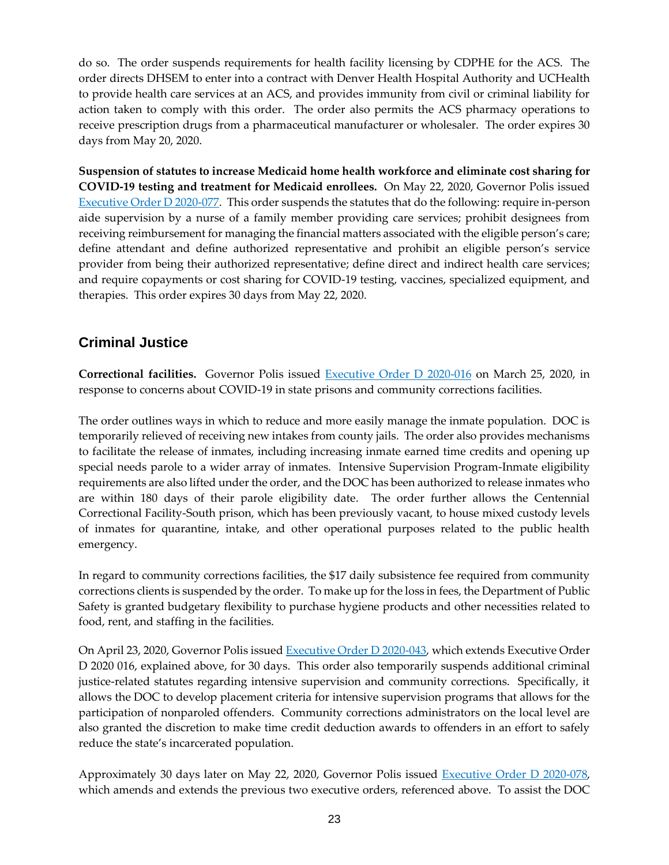do so. The order suspends requirements for health facility licensing by CDPHE for the ACS. The order directs DHSEM to enter into a contract with Denver Health Hospital Authority and UCHealth to provide health care services at an ACS, and provides immunity from civil or criminal liability for action taken to comply with this order. The order also permits the ACS pharmacy operations to receive prescription drugs from a pharmaceutical manufacturer or wholesaler. The order expires 30 days from May 20, 2020.

**Suspension of statutes to increase Medicaid home health workforce and eliminate cost sharing for COVID-19 testing and treatment for Medicaid enrollees.** On May 22, 2020, Governor Polis issued [Executive Order D 2020-077.](https://www.colorado.gov/governor/sites/default/files/inline-files/D%202020%20077.pdf) This order suspends the statutes that do the following: require in-person aide supervision by a nurse of a family member providing care services; prohibit designees from receiving reimbursement for managing the financial matters associated with the eligible person's care; define attendant and define authorized representative and prohibit an eligible person's service provider from being their authorized representative; define direct and indirect health care services; and require copayments or cost sharing for COVID-19 testing, vaccines, specialized equipment, and therapies. This order expires 30 days from May 22, 2020.

# **Criminal Justice**

**Correctional facilities.** Governor Polis issued [Executive Order D 2020-016](https://www.colorado.gov/governor/sites/default/files/inline-files/D%202020%20016%20Suspending%20Certain%20Regulatory%20Statutes%20Concerning%20Criminal%20Justice_0.pdf) on March 25, 2020, in response to concerns about COVID-19 in state prisons and community corrections facilities.

The order outlines ways in which to reduce and more easily manage the inmate population. DOC is temporarily relieved of receiving new intakes from county jails. The order also provides mechanisms to facilitate the release of inmates, including increasing inmate earned time credits and opening up special needs parole to a wider array of inmates. Intensive Supervision Program-Inmate eligibility requirements are also lifted under the order, and the DOC has been authorized to release inmates who are within 180 days of their parole eligibility date. The order further allows the Centennial Correctional Facility-South prison, which has been previously vacant, to house mixed custody levels of inmates for quarantine, intake, and other operational purposes related to the public health emergency.

In regard to community corrections facilities, the \$17 daily subsistence fee required from community corrections clients is suspended by the order. To make up for the loss in fees, the Department of Public Safety is granted budgetary flexibility to purchase hygiene products and other necessities related to food, rent, and staffing in the facilities.

On April 23, 2020, Governor Polis issue[d Executive Order D 2020-043,](https://www.colorado.gov/governor/sites/default/files/inline-files/D%202020%20043%20Extending%20016.pdf) which extends Executive Order D 2020 016, explained above, for 30 days. This order also temporarily suspends additional criminal justice-related statutes regarding intensive supervision and community corrections. Specifically, it allows the DOC to develop placement criteria for intensive supervision programs that allows for the participation of nonparoled offenders. Community corrections administrators on the local level are also granted the discretion to make time credit deduction awards to offenders in an effort to safely reduce the state's incarcerated population.

Approximately 30 days later on May 22, 2020, Governor Polis issued [Executive Order D 2020-078,](https://www.colorado.gov/governor/sites/default/files/inline-files/D%202020%20078%20Department%20of%20Corrections.pdf) which amends and extends the previous two executive orders, referenced above. To assist the DOC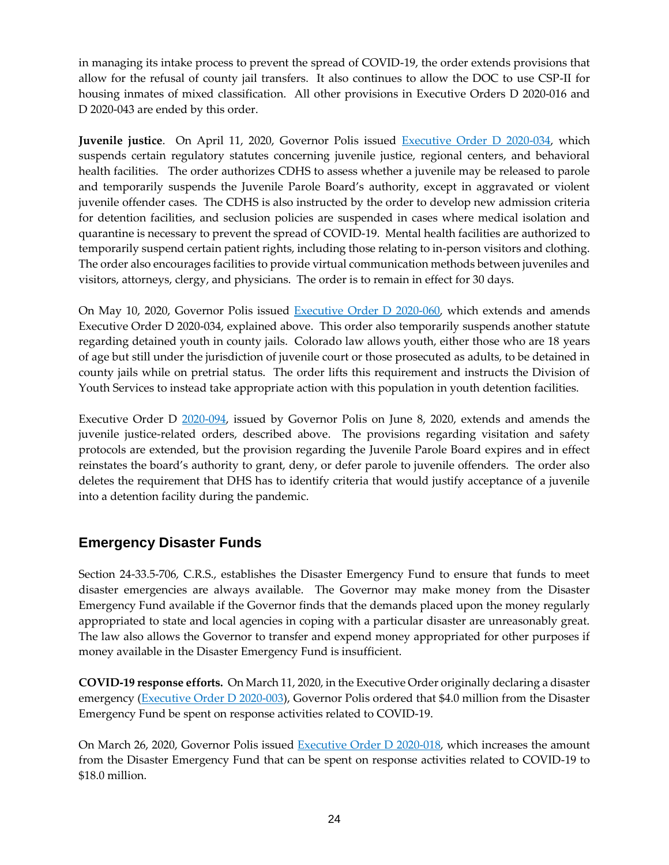in managing its intake process to prevent the spread of COVID-19, the order extends provisions that allow for the refusal of county jail transfers. It also continues to allow the DOC to use CSP-II for housing inmates of mixed classification. All other provisions in Executive Orders D 2020-016 and D 2020-043 are ended by this order.

Juvenile justice. On April 11, 2020, Governor Polis issued **Executive Order D 2020-034**, which suspends certain regulatory statutes concerning juvenile justice, regional centers, and behavioral health facilities. The order authorizes CDHS to assess whether a juvenile may be released to parole and temporarily suspends the Juvenile Parole Board's authority, except in aggravated or violent juvenile offender cases. The CDHS is also instructed by the order to develop new admission criteria for detention facilities, and seclusion policies are suspended in cases where medical isolation and quarantine is necessary to prevent the spread of COVID-19. Mental health facilities are authorized to temporarily suspend certain patient rights, including those relating to in-person visitors and clothing. The order also encourages facilities to provide virtual communication methods between juveniles and visitors, attorneys, clergy, and physicians. The order is to remain in effect for 30 days.

On May 10, 2020, Governor Polis issued [Executive Order D 2020-060,](https://www.colorado.gov/governor/sites/default/files/inline-files/D%202020%20060%20Amending%20and%20Extending%20D%202020%20034-%20Juvenile%20Justice.pdf) which extends and amends Executive Order D 2020-034, explained above. This order also temporarily suspends another statute regarding detained youth in county jails. Colorado law allows youth, either those who are 18 years of age but still under the jurisdiction of juvenile court or those prosecuted as adults, to be detained in county jails while on pretrial status. The order lifts this requirement and instructs the Division of Youth Services to instead take appropriate action with this population in youth detention facilities.

Executive Order D [2020-094,](https://www.colorado.gov/governor/sites/default/files/inline-files/D%202020%20094%20Amending%20and%20Extending%20Juvenile%20Justice.pdf) issued by Governor Polis on June 8, 2020, extends and amends the juvenile justice-related orders, described above. The provisions regarding visitation and safety protocols are extended, but the provision regarding the Juvenile Parole Board expires and in effect reinstates the board's authority to grant, deny, or defer parole to juvenile offenders. The order also deletes the requirement that DHS has to identify criteria that would justify acceptance of a juvenile into a detention facility during the pandemic.

# **Emergency Disaster Funds**

Section 24-33.5-706, C.R.S., establishes the Disaster Emergency Fund to ensure that funds to meet disaster emergencies are always available. The Governor may make money from the Disaster Emergency Fund available if the Governor finds that the demands placed upon the money regularly appropriated to state and local agencies in coping with a particular disaster are unreasonably great. The law also allows the Governor to transfer and expend money appropriated for other purposes if money available in the Disaster Emergency Fund is insufficient.

**COVID-19 response efforts.** On March 11, 2020, in the Executive Order originally declaring a disaster emergency [\(Executive Order D 2020-003\)](https://www.colorado.gov/governor/sites/default/files/inline-files/D%202020%20003%20Declaring%20a%20Disaster%20Emergency_1.pdf), Governor Polis ordered that \$4.0 million from the Disaster Emergency Fund be spent on response activities related to COVID-19.

On March 26, 2020, Governor Polis issued [Executive Order D 2020-018,](https://www.colorado.gov/governor/sites/default/files/inline-files/D%202020%20018%20Amending%20Executive%20Order%20D%202020%20003_0.pdf) which increases the amount from the Disaster Emergency Fund that can be spent on response activities related to COVID-19 to \$18.0 million.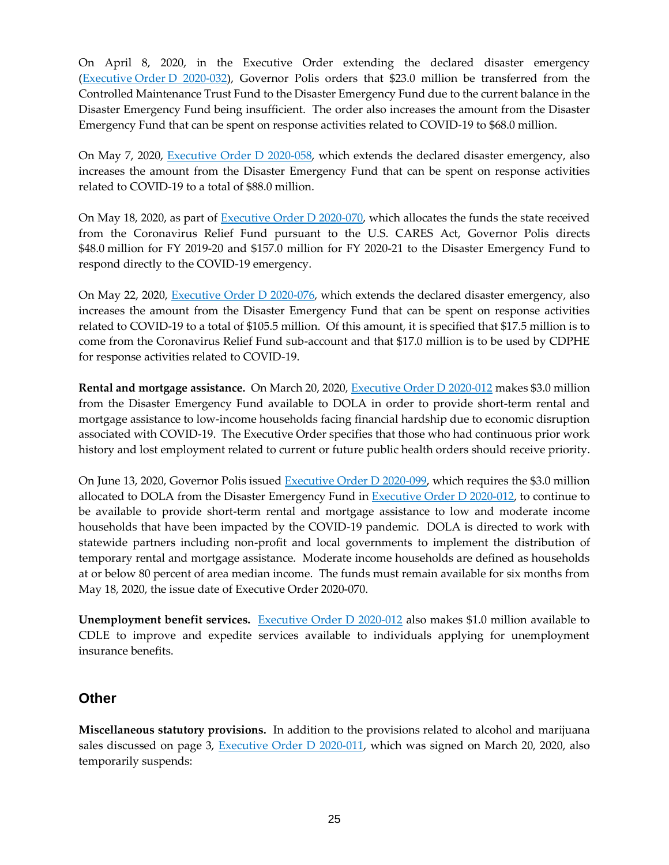On April 8, 2020, in the Executive Order extending the declared disaster emergency (Executive Order [D 2020-032\)](https://www.colorado.gov/governor/sites/default/files/inline-files/D%202020%20032%20Extending%20D%202020%20003.pdf), Governor Polis orders that \$23.0 million be transferred from the Controlled Maintenance Trust Fund to the Disaster Emergency Fund due to the current balance in the Disaster Emergency Fund being insufficient. The order also increases the amount from the Disaster Emergency Fund that can be spent on response activities related to COVID-19 to \$68.0 million.

On May 7, 2020, [Executive Order D 2020-058,](https://www.colorado.gov/governor/sites/default/files/inline-files/D%202020%20058%20Amending%20and%20Extending%20Distaster%20Order.pdf) which extends the declared disaster emergency, also increases the amount from the Disaster Emergency Fund that can be spent on response activities related to COVID-19 to a total of \$88.0 million.

On May 18, 2020, as part of [Executive Order D 2020-070,](https://www.colorado.gov/governor/sites/default/files/inline-files/D%202020%20070%20CARES%20act.pdf) which allocates the funds the state received from the Coronavirus Relief Fund pursuant to the U.S. CARES Act, Governor Polis directs \$48.0 million for FY 2019-20 and \$157.0 million for FY 2020-21 to the Disaster Emergency Fund to respond directly to the COVID-19 emergency.

On May 22, 2020, [Executive Order D 2020-076,](https://www.colorado.gov/governor/sites/default/files/inline-files/D%202020%20076%20Extending%20Disaster%20Order%20D%202020%20003.pdf) which extends the declared disaster emergency, also increases the amount from the Disaster Emergency Fund that can be spent on response activities related to COVID-19 to a total of \$105.5 million. Of this amount, it is specified that \$17.5 million is to come from the Coronavirus Relief Fund sub-account and that \$17.0 million is to be used by CDPHE for response activities related to COVID-19.

**Rental and mortgage assistance.** On March 20, 2020, [Executive Order D 2020-012](https://www.colorado.gov/governor/sites/default/files/inline-files/D%202020%20012%20Order%20Limiting%20Evictions%2C%20Foreclosures%2C%20and%20Public%20Utility%20Disconnections_0.pdf) makes \$3.0 million from the Disaster Emergency Fund available to DOLA in order to provide short-term rental and mortgage assistance to low-income households facing financial hardship due to economic disruption associated with COVID-19. The Executive Order specifies that those who had continuous prior work history and lost employment related to current or future public health orders should receive priority.

On June 13, 2020, Governor Polis issued [Executive Order D 2020-099,](https://www.colorado.gov/governor/sites/default/files/inline-files/D%202020%20070%20CARES%20act.pdf) which requires the \$3.0 million allocated to DOLA from the Disaster Emergency Fund in [Executive Order D 2020-012,](https://www.colorado.gov/governor/sites/default/files/inline-files/D%202020%20012%20Order%20Limiting%20Evictions%2C%20Foreclosures%2C%20and%20Public%20Utility%20Disconnections_0.pdf) to continue to be available to provide short-term rental and mortgage assistance to low and moderate income households that have been impacted by the COVID-19 pandemic. DOLA is directed to work with statewide partners including non-profit and local governments to implement the distribution of temporary rental and mortgage assistance. Moderate income households are defined as households at or below 80 percent of area median income. The funds must remain available for six months from May 18, 2020, the issue date of Executive Order 2020-070.

**Unemployment benefit services.** [Executive Order D 2020-012](https://www.colorado.gov/governor/sites/default/files/inline-files/D%202020%20012%20Order%20Limiting%20Evictions%2C%20Foreclosures%2C%20and%20Public%20Utility%20Disconnections_0.pdf) also makes \$1.0 million available to CDLE to improve and expedite services available to individuals applying for unemployment insurance benefits.

### **Other**

**Miscellaneous statutory provisions.** In addition to the provisions related to alcohol and marijuana sales discussed on page 3, [Executive Order D 2020-011,](https://www.colorado.gov/governor/sites/default/files/inline-files/D%202020%20011%20Ordering%20the%20Temporary%20Suspension%20of%20Certain%20Regulatory%20Statutes_0.pdf) which was signed on March 20, 2020, also temporarily suspends: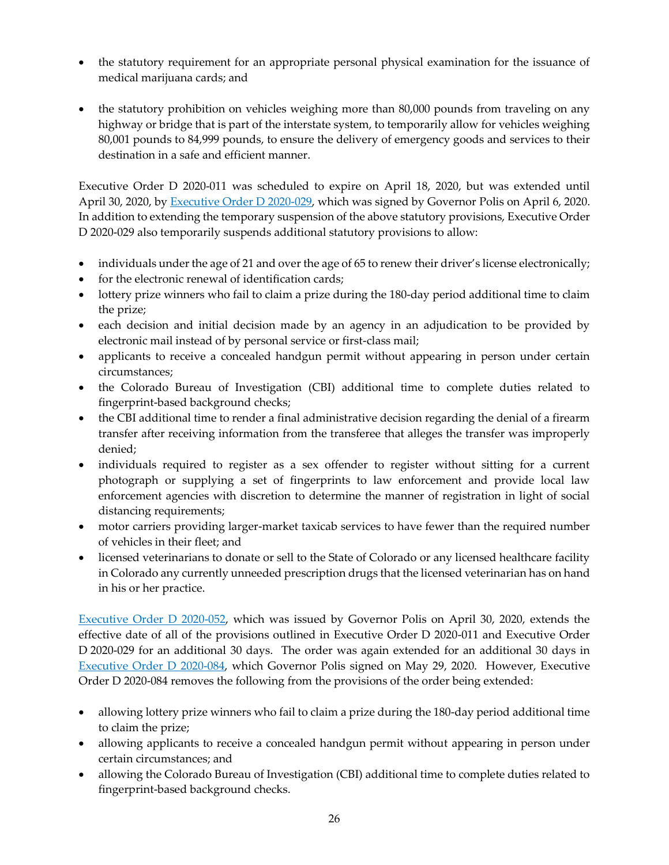- the statutory requirement for an appropriate personal physical examination for the issuance of medical marijuana cards; and
- the statutory prohibition on vehicles weighing more than 80,000 pounds from traveling on any highway or bridge that is part of the interstate system, to temporarily allow for vehicles weighing 80,001 pounds to 84,999 pounds, to ensure the delivery of emergency goods and services to their destination in a safe and efficient manner.

Executive Order D 2020-011 was scheduled to expire on April 18, 2020, but was extended until April 30, 2020, by **Executive Order D** 2020-029, which was signed by Governor Polis on April 6, 2020. In addition to extending the temporary suspension of the above statutory provisions, Executive Order D 2020-029 also temporarily suspends additional statutory provisions to allow:

- individuals under the age of 21 and over the age of 65 to renew their driver's license electronically;
- for the electronic renewal of identification cards;
- lottery prize winners who fail to claim a prize during the 180-day period additional time to claim the prize;
- each decision and initial decision made by an agency in an adjudication to be provided by electronic mail instead of by personal service or first-class mail;
- applicants to receive a concealed handgun permit without appearing in person under certain circumstances;
- the Colorado Bureau of Investigation (CBI) additional time to complete duties related to fingerprint-based background checks;
- the CBI additional time to render a final administrative decision regarding the denial of a firearm transfer after receiving information from the transferee that alleges the transfer was improperly denied;
- individuals required to register as a sex offender to register without sitting for a current photograph or supplying a set of fingerprints to law enforcement and provide local law enforcement agencies with discretion to determine the manner of registration in light of social distancing requirements;
- motor carriers providing larger-market taxicab services to have fewer than the required number of vehicles in their fleet; and
- licensed veterinarians to donate or sell to the State of Colorado or any licensed healthcare facility in Colorado any currently unneeded prescription drugs that the licensed veterinarian has on hand in his or her practice.

[Executive Order D 2020-052,](https://www.colorado.gov/governor/sites/default/files/inline-files/D%202020%20052%20Ext%20of%20D%202020%20011%20and%20D%202020%20029.pdf) which was issued by Governor Polis on April 30, 2020, extends the effective date of all of the provisions outlined in Executive Order D 2020-011 and Executive Order D 2020-029 for an additional 30 days. The order was again extended for an additional 30 days in [Executive Order D 2020-084,](https://www.colorado.gov/governor/sites/default/files/inline-files/D%202020%20084%20Regulatory%20Statutes%20Extension.pdf) which Governor Polis signed on May 29, 2020. However, Executive Order D 2020-084 removes the following from the provisions of the order being extended:

- allowing lottery prize winners who fail to claim a prize during the 180-day period additional time to claim the prize;
- allowing applicants to receive a concealed handgun permit without appearing in person under certain circumstances; and
- allowing the Colorado Bureau of Investigation (CBI) additional time to complete duties related to fingerprint-based background checks.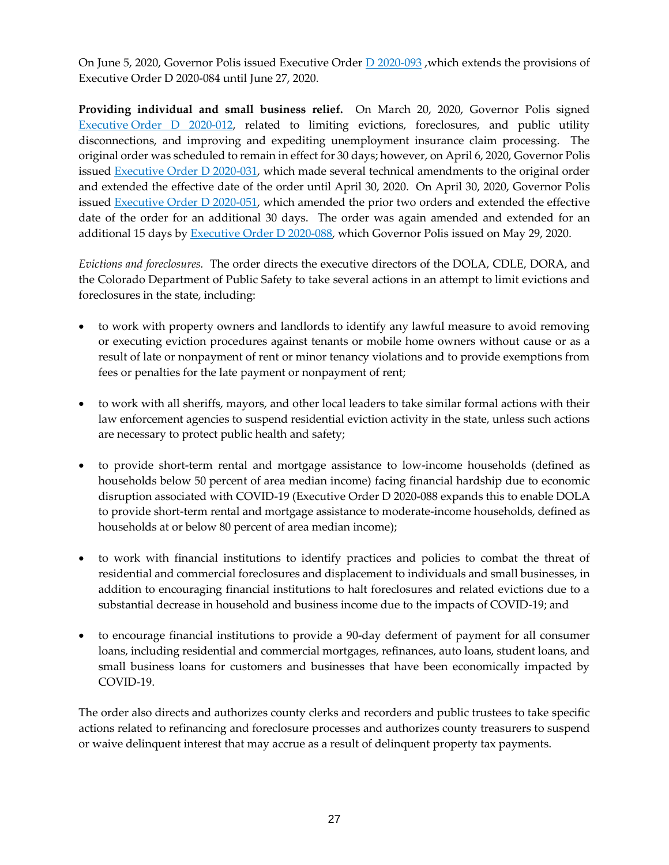On June 5, 2020, Governor Polis issued Executive Order **D** 2020-093, which extends the provisions of Executive Order D 2020-084 until June 27, 2020.

**Providing individual and small business relief.** On March 20, 2020, Governor Polis signed [Executive](https://www.colorado.gov/governor/sites/default/files/inline-files/D%202020%20012%20Order%20Limiting%20Evictions%2C%20Foreclosures%2C%20and%20Public%20Utility%20Disconnections_0.pdf) Order D 2020-012, related to limiting evictions, foreclosures, and public utility disconnections, and improving and expediting unemployment insurance claim processing. The original order was scheduled to remain in effect for 30 days; however, on April 6, 2020, Governor Polis issued [Executive Order D 2020-031,](https://www.colorado.gov/governor/sites/default/files/inline-files/D%202020%20031%20Evictions%20and%20Foreclosures.pdf) which made several technical amendments to the original order and extended the effective date of the order until April 30, 2020. On April 30, 2020, Governor Polis issued [Executive Order D 2020-051,](https://www.colorado.gov/governor/sites/default/files/inline-files/D%202020%20051%20Evictions.pdf) which amended the prior two orders and extended the effective date of the order for an additional 30 days. The order was again amended and extended for an additional 15 days by [Executive Order D 2020-088,](https://www.colorado.gov/governor/sites/default/files/inline-files/D%202020%20088%20Evictions%20Extension.pdf) which Governor Polis issued on May 29, 2020.

*Evictions and foreclosures.* The order directs the executive directors of the DOLA, CDLE, DORA, and the Colorado Department of Public Safety to take several actions in an attempt to limit evictions and foreclosures in the state, including:

- to work with property owners and landlords to identify any lawful measure to avoid removing or executing eviction procedures against tenants or mobile home owners without cause or as a result of late or nonpayment of rent or minor tenancy violations and to provide exemptions from fees or penalties for the late payment or nonpayment of rent;
- to work with all sheriffs, mayors, and other local leaders to take similar formal actions with their law enforcement agencies to suspend residential eviction activity in the state, unless such actions are necessary to protect public health and safety;
- to provide short-term rental and mortgage assistance to low-income households (defined as households below 50 percent of area median income) facing financial hardship due to economic disruption associated with COVID-19 (Executive Order D 2020-088 expands this to enable DOLA to provide short-term rental and mortgage assistance to moderate-income households, defined as households at or below 80 percent of area median income);
- to work with financial institutions to identify practices and policies to combat the threat of residential and commercial foreclosures and displacement to individuals and small businesses, in addition to encouraging financial institutions to halt foreclosures and related evictions due to a substantial decrease in household and business income due to the impacts of COVID-19; and
- to encourage financial institutions to provide a 90-day deferment of payment for all consumer loans, including residential and commercial mortgages, refinances, auto loans, student loans, and small business loans for customers and businesses that have been economically impacted by COVID-19.

The order also directs and authorizes county clerks and recorders and public trustees to take specific actions related to refinancing and foreclosure processes and authorizes county treasurers to suspend or waive delinquent interest that may accrue as a result of delinquent property tax payments.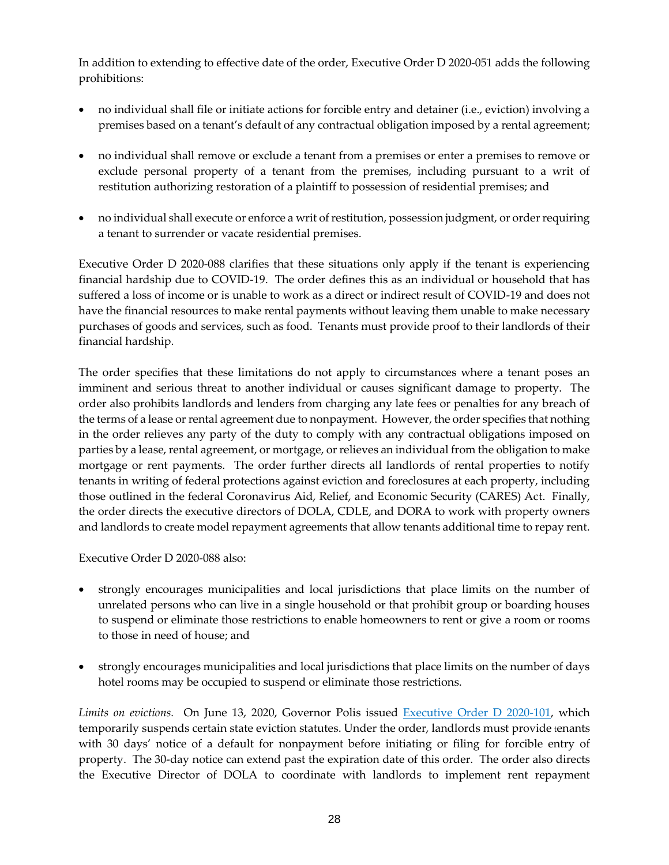In addition to extending to effective date of the order, Executive Order D 2020-051 adds the following prohibitions:

- no individual shall file or initiate actions for forcible entry and detainer (i.e., eviction) involving a premises based on a tenant's default of any contractual obligation imposed by a rental agreement;
- no individual shall remove or exclude a tenant from a premises or enter a premises to remove or exclude personal property of a tenant from the premises, including pursuant to a writ of restitution authorizing restoration of a plaintiff to possession of residential premises; and
- no individual shall execute or enforce a writ of restitution, possession judgment, or order requiring a tenant to surrender or vacate residential premises.

Executive Order D 2020-088 clarifies that these situations only apply if the tenant is experiencing financial hardship due to COVID-19. The order defines this as an individual or household that has suffered a loss of income or is unable to work as a direct or indirect result of COVID-19 and does not have the financial resources to make rental payments without leaving them unable to make necessary purchases of goods and services, such as food. Tenants must provide proof to their landlords of their financial hardship.

The order specifies that these limitations do not apply to circumstances where a tenant poses an imminent and serious threat to another individual or causes significant damage to property. The order also prohibits landlords and lenders from charging any late fees or penalties for any breach of the terms of a lease or rental agreement due to nonpayment. However, the order specifies that nothing in the order relieves any party of the duty to comply with any contractual obligations imposed on parties by a lease, rental agreement, or mortgage, or relieves an individual from the obligation to make mortgage or rent payments. The order further directs all landlords of rental properties to notify tenants in writing of federal protections against eviction and foreclosures at each property, including those outlined in the federal Coronavirus Aid, Relief, and Economic Security (CARES) Act. Finally, the order directs the executive directors of DOLA, CDLE, and DORA to work with property owners and landlords to create model repayment agreements that allow tenants additional time to repay rent.

Executive Order D 2020-088 also:

- strongly encourages municipalities and local jurisdictions that place limits on the number of unrelated persons who can live in a single household or that prohibit group or boarding houses to suspend or eliminate those restrictions to enable homeowners to rent or give a room or rooms to those in need of house; and
- strongly encourages municipalities and local jurisdictions that place limits on the number of days hotel rooms may be occupied to suspend or eliminate those restrictions.

*Limits on evictions.* On June 13, 2020, Governor Polis issued [Executive Order D 2020-101,](https://www.colorado.gov/governor/sites/default/files/inline-files/D%202020%20101%20Evictions.pdf) which temporarily suspends certain state eviction statutes. Under the order, landlords must provide tenants with 30 days' notice of a default for nonpayment before initiating or filing for forcible entry of property. The 30-day notice can extend past the expiration date of this order. The order also directs the Executive Director of DOLA to coordinate with landlords to implement rent repayment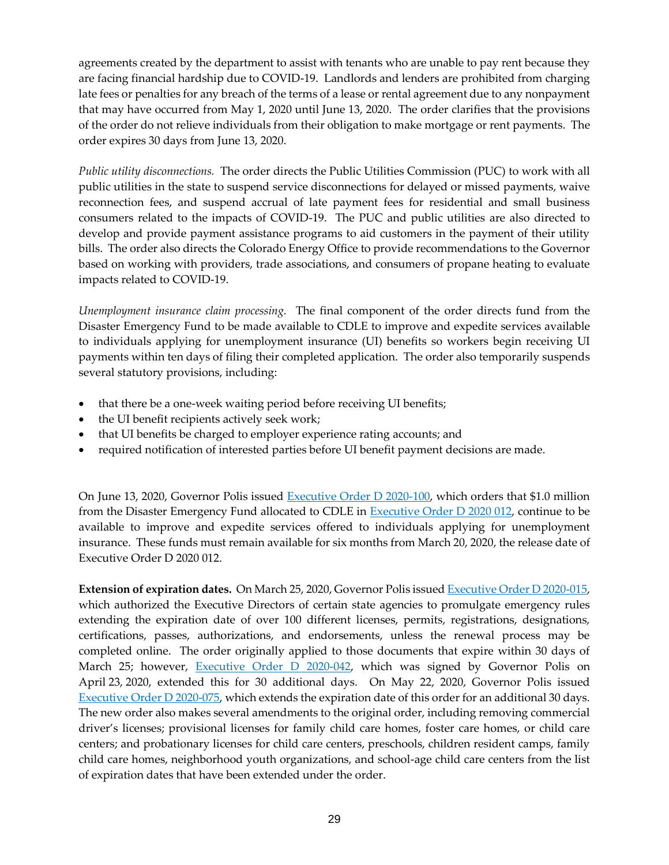agreements created by the department to assist with tenants who are unable to pay rent because they are facing financial hardship due to COVID-19. Landlords and lenders are prohibited from charging late fees or penalties for any breach of the terms of a lease or rental agreement due to any nonpayment that may have occurred from May 1, 2020 until June 13, 2020. The order clarifies that the provisions of the order do not relieve individuals from their obligation to make mortgage or rent payments. The order expires 30 days from June 13, 2020.

*Public utility disconnections.* The order directs the Public Utilities Commission (PUC) to work with all public utilities in the state to suspend service disconnections for delayed or missed payments, waive reconnection fees, and suspend accrual of late payment fees for residential and small business consumers related to the impacts of COVID-19. The PUC and public utilities are also directed to develop and provide payment assistance programs to aid customers in the payment of their utility bills. The order also directs the Colorado Energy Office to provide recommendations to the Governor based on working with providers, trade associations, and consumers of propane heating to evaluate impacts related to COVID-19.

*Unemployment insurance claim processing.* The final component of the order directs fund from the Disaster Emergency Fund to be made available to CDLE to improve and expedite services available to individuals applying for unemployment insurance (UI) benefits so workers begin receiving UI payments within ten days of filing their completed application. The order also temporarily suspends several statutory provisions, including:

- that there be a one-week waiting period before receiving UI benefits;
- the UI benefit recipients actively seek work;
- that UI benefits be charged to employer experience rating accounts; and
- required notification of interested parties before UI benefit payment decisions are made.

On June 13, 2020, Governor Polis issued [Executive Order D 2020-100,](https://www.colorado.gov/governor/sites/default/files/inline-files/D%202020%20100%20Unemployment%20Insurance.pdf) which orders that \$1.0 million from the Disaster Emergency Fund allocated to CDLE in [Executive Order D 2020 012,](https://www.colorado.gov/governor/sites/default/files/inline-files/D%202020%20012%20Order%20Limiting%20Evictions%2C%20Foreclosures%2C%20and%20Public%20Utility%20Disconnections_0.pdf) continue to be available to improve and expedite services offered to individuals applying for unemployment insurance. These funds must remain available for six months from March 20, 2020, the release date of Executive Order D 2020 012.

**Extension of expiration dates.** On March 25, 2020, Governor Polis issue[d Executive Order D 2020-015,](https://www.colorado.gov/governor/sites/default/files/inline-files/D%202020%20015%20Extending%20the%20Expiration%20Date%20of%20Licenses%20and%20Other%20Documents_0.pdf) which authorized the Executive Directors of certain state agencies to promulgate emergency rules extending the expiration date of over 100 different licenses, permits, registrations, designations, certifications, passes, authorizations, and endorsements, unless the renewal process may be completed online. The order originally applied to those documents that expire within 30 days of March 25; however, **Executive Order D 2020-042**, which was signed by Governor Polis on April 23, 2020, extended this for 30 additional days. On May 22, 2020, Governor Polis issued Executive Order [D 2020-075,](https://www.colorado.gov/governor/sites/default/files/inline-files/D%202020%20075%20Licensure.pdf) which extends the expiration date of this order for an additional 30 days. The new order also makes several amendments to the original order, including removing commercial driver's licenses; provisional licenses for family child care homes, foster care homes, or child care centers; and probationary licenses for child care centers, preschools, children resident camps, family child care homes, neighborhood youth organizations, and school-age child care centers from the list of expiration dates that have been extended under the order.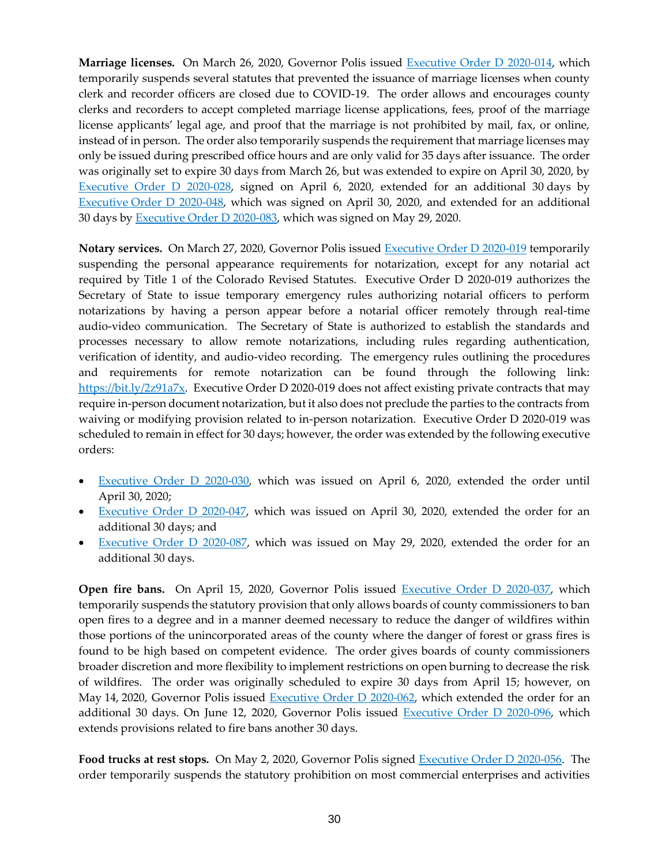**Marriage licenses.** On March 26, 2020, Governor Polis issued [Executive Order D 2020-014,](https://www.colorado.gov/governor/sites/default/files/inline-files/D%202020%20014%20Marriage%20Licenses_0.pdf) which temporarily suspends several statutes that prevented the issuance of marriage licenses when county clerk and recorder officers are closed due to COVID-19. The order allows and encourages county clerks and recorders to accept completed marriage license applications, fees, proof of the marriage license applicants' legal age, and proof that the marriage is not prohibited by mail, fax, or online, instead of in person. The order also temporarily suspends the requirement that marriage licenses may only be issued during prescribed office hours and are only valid for 35 days after issuance. The order was originally set to expire 30 days from March 26, but was extended to expire on April 30, 2020, by [Executive Order D 2020-028,](https://www.colorado.gov/governor/sites/default/files/inline-files/D%202020%20028%20Extending%20Marriage%20Licenses_0.pdf) signed on April 6, 2020, extended for an additional 30 days by Executive [Order D 2020-048,](https://www.colorado.gov/governor/sites/default/files/inline-files/D%202020%20048%20Marriage%20License%20Extension.pdf) which was signed on April 30, 2020, and extended for an additional 30 days by [Executive Order D 2020-083,](https://www.colorado.gov/governor/sites/default/files/inline-files/D%202020%20083%20Marriage%20License%20Extension.pdf) which was signed on May 29, 2020.

**Notary services.** On March 27, 2020, Governor Polis issued [Executive Order D 2020-019](https://www.colorado.gov/governor/sites/default/files/inline-files/D%202020%20019%20Suspension%20of%20the%20Personal%20Appearance%20Requirement%20for%20Notarization_0.pdf) temporarily suspending the personal appearance requirements for notarization, except for any notarial act required by Title 1 of the Colorado Revised Statutes. Executive Order D 2020-019 authorizes the Secretary of State to issue temporary emergency rules authorizing notarial officers to perform notarizations by having a person appear before a notarial officer remotely through real-time audio-video communication. The Secretary of State is authorized to establish the standards and processes necessary to allow remote notarizations, including rules regarding authentication, verification of identity, and audio-video recording. The emergency rules outlining the procedures and requirements for remote notarization can be found through the following link: [https://bit.ly/2z91a7x.](https://bit.ly/2z91a7x) Executive Order D 2020-019 does not affect existing private contracts that may require in-person document notarization, but it also does not preclude the parties to the contracts from waiving or modifying provision related to in-person notarization. Executive Order D 2020-019 was scheduled to remain in effect for 30 days; however, the order was extended by the following executive orders:

- [Executive Order D 2020-030,](https://www.colorado.gov/governor/sites/default/files/inline-files/D%202020%20030%20Extending%20Notaries_0.pdf) which was issued on April 6, 2020, extended the order until April 30, 2020;
- [Executive Order D 2020-047,](https://www.colorado.gov/governor/sites/default/files/inline-files/D%202020%20047%20Notary%20Extension.pdf) which was issued on April 30, 2020, extended the order for an additional 30 days; and
- [Executive Order D 2020-087,](https://www.colorado.gov/governor/sites/default/files/inline-files/D%202020%20087%20Notarization%20Extension.pdf) which was issued on May 29, 2020, extended the order for an additional 30 days.

**Open fire bans.** On April 15, 2020, Governor Polis issued [Executive Order D 2020-037,](https://www.colorado.gov/governor/sites/default/files/inline-files/D%202020%20037%20Temporary%20Fire%20Ban.pdf) which temporarily suspends the statutory provision that only allows boards of county commissioners to ban open fires to a degree and in a manner deemed necessary to reduce the danger of wildfires within those portions of the unincorporated areas of the county where the danger of forest or grass fires is found to be high based on competent evidence. The order gives boards of county commissioners broader discretion and more flexibility to implement restrictions on open burning to decrease the risk of wildfires. The order was originally scheduled to expire 30 days from April 15; however, on May 14, 2020, Governor Polis issued [Executive Order D 2020-062,](https://www.colorado.gov/governor/sites/default/files/inline-files/D%202020%20062%20Fire%20Ban%20Extension.pdf) which extended the order for an additional 30 days. On June 12, 2020, Governor Polis issued [Executive Order D 2020-096,](https://www.colorado.gov/governor/sites/default/files/inline-files/D%202020%20096%20Fire%20Ban%20Extension.pdf) which extends provisions related to fire bans another 30 days.

**Food trucks at rest stops.** On May 2, 2020, Governor Polis signed [Executive Order D 2020-056.](https://www.colorado.gov/governor/sites/default/files/inline-files/D%202020%20056%20Food%20Trucks%20at%20Rest%20Stops.pdf) The order temporarily suspends the statutory prohibition on most commercial enterprises and activities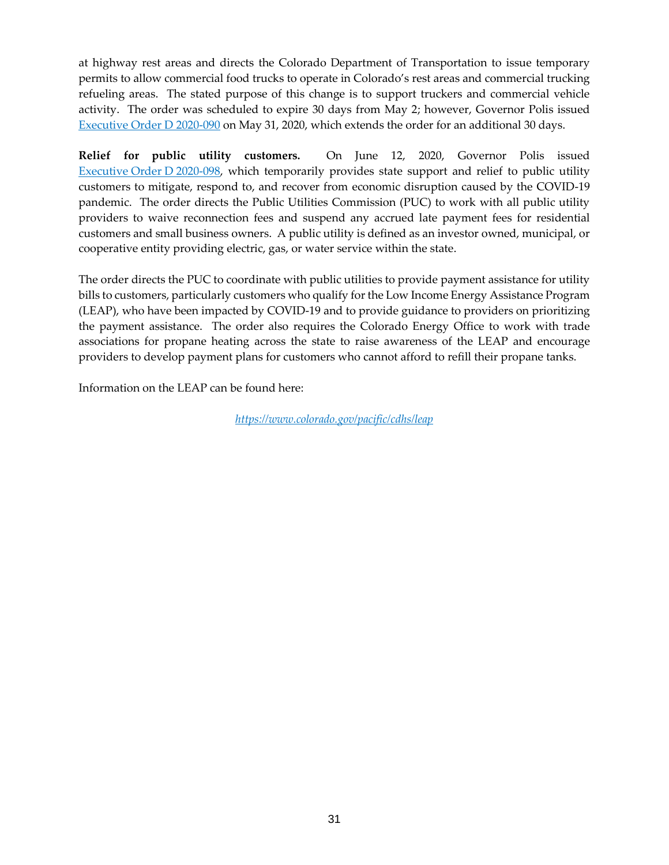at highway rest areas and directs the Colorado Department of Transportation to issue temporary permits to allow commercial food trucks to operate in Colorado's rest areas and commercial trucking refueling areas. The stated purpose of this change is to support truckers and commercial vehicle activity. The order was scheduled to expire 30 days from May 2; however, Governor Polis issued [Executive Order D 2020-090](https://www.colorado.gov/governor/sites/default/files/inline-files/D%202020%20090%20Food%20Truck%20Extension.pdf) on May 31, 2020, which extends the order for an additional 30 days.

**Relief for public utility customers.** On June 12, 2020, Governor Polis issued [Executive](https://www.colorado.gov/governor/sites/default/files/inline-files/D%202020%20098%20Utilities.pdf) Order D 2020-098, which temporarily provides state support and relief to public utility customers to mitigate, respond to, and recover from economic disruption caused by the COVID-19 pandemic. The order directs the Public Utilities Commission (PUC) to work with all public utility providers to waive reconnection fees and suspend any accrued late payment fees for residential customers and small business owners. A public utility is defined as an investor owned, municipal, or cooperative entity providing electric, gas, or water service within the state.

The order directs the PUC to coordinate with public utilities to provide payment assistance for utility bills to customers, particularly customers who qualify for the Low Income Energy Assistance Program (LEAP), who have been impacted by COVID-19 and to provide guidance to providers on prioritizing the payment assistance. The order also requires the Colorado Energy Office to work with trade associations for propane heating across the state to raise awareness of the LEAP and encourage providers to develop payment plans for customers who cannot afford to refill their propane tanks.

Information on the LEAP can be found here:

*<https://www.colorado.gov/pacific/cdhs/leap>*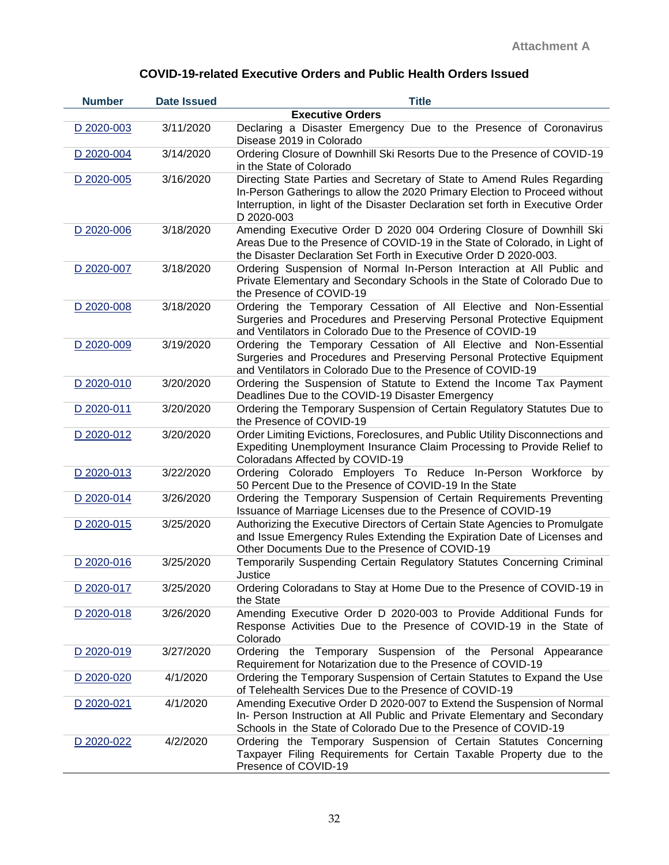| <b>Number</b> | <b>Date Issued</b> | <b>Title</b>                                                                                                                                                                                                                                           |
|---------------|--------------------|--------------------------------------------------------------------------------------------------------------------------------------------------------------------------------------------------------------------------------------------------------|
|               |                    | <b>Executive Orders</b>                                                                                                                                                                                                                                |
| D 2020-003    | 3/11/2020          | Declaring a Disaster Emergency Due to the Presence of Coronavirus<br>Disease 2019 in Colorado                                                                                                                                                          |
| D 2020-004    | 3/14/2020          | Ordering Closure of Downhill Ski Resorts Due to the Presence of COVID-19<br>in the State of Colorado                                                                                                                                                   |
| D 2020-005    | 3/16/2020          | Directing State Parties and Secretary of State to Amend Rules Regarding<br>In-Person Gatherings to allow the 2020 Primary Election to Proceed without<br>Interruption, in light of the Disaster Declaration set forth in Executive Order<br>D 2020-003 |
| D 2020-006    | 3/18/2020          | Amending Executive Order D 2020 004 Ordering Closure of Downhill Ski<br>Areas Due to the Presence of COVID-19 in the State of Colorado, in Light of<br>the Disaster Declaration Set Forth in Executive Order D 2020-003.                               |
| D 2020-007    | 3/18/2020          | Ordering Suspension of Normal In-Person Interaction at All Public and<br>Private Elementary and Secondary Schools in the State of Colorado Due to<br>the Presence of COVID-19                                                                          |
| D 2020-008    | 3/18/2020          | Ordering the Temporary Cessation of All Elective and Non-Essential<br>Surgeries and Procedures and Preserving Personal Protective Equipment<br>and Ventilators in Colorado Due to the Presence of COVID-19                                             |
| D 2020-009    | 3/19/2020          | Ordering the Temporary Cessation of All Elective and Non-Essential<br>Surgeries and Procedures and Preserving Personal Protective Equipment<br>and Ventilators in Colorado Due to the Presence of COVID-19                                             |
| D 2020-010    | 3/20/2020          | Ordering the Suspension of Statute to Extend the Income Tax Payment<br>Deadlines Due to the COVID-19 Disaster Emergency                                                                                                                                |
| D 2020-011    | 3/20/2020          | Ordering the Temporary Suspension of Certain Regulatory Statutes Due to<br>the Presence of COVID-19                                                                                                                                                    |
| D 2020-012    | 3/20/2020          | Order Limiting Evictions, Foreclosures, and Public Utility Disconnections and<br>Expediting Unemployment Insurance Claim Processing to Provide Relief to<br>Coloradans Affected by COVID-19                                                            |
| D 2020-013    | 3/22/2020          | Ordering Colorado Employers To Reduce In-Person Workforce by<br>50 Percent Due to the Presence of COVID-19 In the State                                                                                                                                |
| D 2020-014    | 3/26/2020          | Ordering the Temporary Suspension of Certain Requirements Preventing<br>Issuance of Marriage Licenses due to the Presence of COVID-19                                                                                                                  |
| D 2020-015    | 3/25/2020          | Authorizing the Executive Directors of Certain State Agencies to Promulgate<br>and Issue Emergency Rules Extending the Expiration Date of Licenses and<br>Other Documents Due to the Presence of COVID-19                                              |
| D 2020-016    | 3/25/2020          | Temporarily Suspending Certain Regulatory Statutes Concerning Criminal<br>Justice                                                                                                                                                                      |
| D 2020-017    | 3/25/2020          | Ordering Coloradans to Stay at Home Due to the Presence of COVID-19 in<br>the State                                                                                                                                                                    |
| D 2020-018    | 3/26/2020          | Amending Executive Order D 2020-003 to Provide Additional Funds for<br>Response Activities Due to the Presence of COVID-19 in the State of<br>Colorado                                                                                                 |
| D 2020-019    | 3/27/2020          | Ordering the Temporary Suspension of the Personal Appearance<br>Requirement for Notarization due to the Presence of COVID-19                                                                                                                           |
| D 2020-020    | 4/1/2020           | Ordering the Temporary Suspension of Certain Statutes to Expand the Use<br>of Telehealth Services Due to the Presence of COVID-19                                                                                                                      |
| D 2020-021    | 4/1/2020           | Amending Executive Order D 2020-007 to Extend the Suspension of Normal<br>In- Person Instruction at All Public and Private Elementary and Secondary<br>Schools in the State of Colorado Due to the Presence of COVID-19                                |
| D 2020-022    | 4/2/2020           | Ordering the Temporary Suspension of Certain Statutes Concerning<br>Taxpayer Filing Requirements for Certain Taxable Property due to the<br>Presence of COVID-19                                                                                       |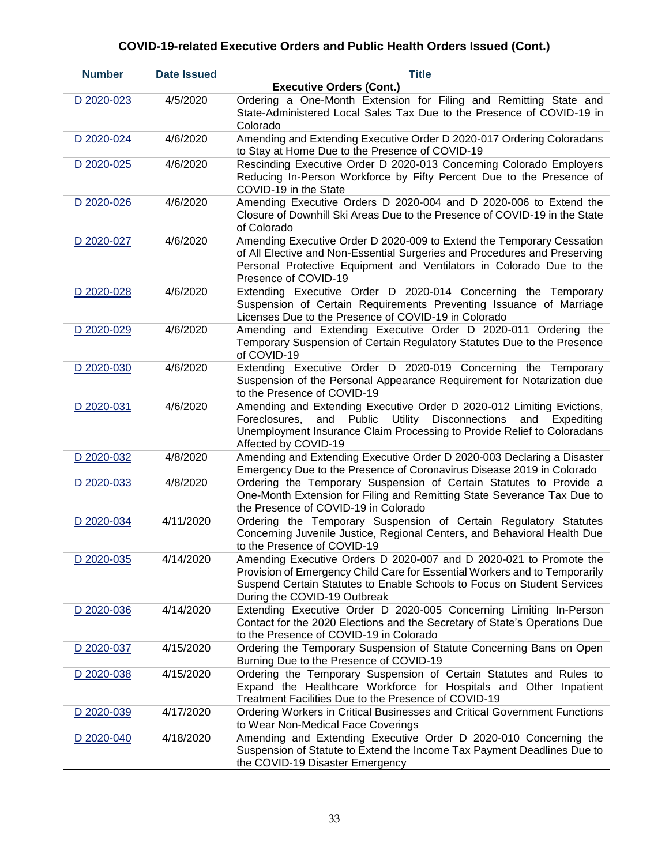| <b>Number</b> | <b>Date Issued</b> | <b>Title</b>                                                                                                                                                                                                                                                 |
|---------------|--------------------|--------------------------------------------------------------------------------------------------------------------------------------------------------------------------------------------------------------------------------------------------------------|
|               |                    | <b>Executive Orders (Cont.)</b>                                                                                                                                                                                                                              |
| D 2020-023    | 4/5/2020           | Ordering a One-Month Extension for Filing and Remitting State and<br>State-Administered Local Sales Tax Due to the Presence of COVID-19 in<br>Colorado                                                                                                       |
| D 2020-024    | 4/6/2020           | Amending and Extending Executive Order D 2020-017 Ordering Coloradans<br>to Stay at Home Due to the Presence of COVID-19                                                                                                                                     |
| D 2020-025    | 4/6/2020           | Rescinding Executive Order D 2020-013 Concerning Colorado Employers<br>Reducing In-Person Workforce by Fifty Percent Due to the Presence of<br>COVID-19 in the State                                                                                         |
| D 2020-026    | 4/6/2020           | Amending Executive Orders D 2020-004 and D 2020-006 to Extend the<br>Closure of Downhill Ski Areas Due to the Presence of COVID-19 in the State<br>of Colorado                                                                                               |
| D 2020-027    | 4/6/2020           | Amending Executive Order D 2020-009 to Extend the Temporary Cessation<br>of All Elective and Non-Essential Surgeries and Procedures and Preserving<br>Personal Protective Equipment and Ventilators in Colorado Due to the<br>Presence of COVID-19           |
| D 2020-028    | 4/6/2020           | Extending Executive Order D 2020-014 Concerning the Temporary<br>Suspension of Certain Requirements Preventing Issuance of Marriage<br>Licenses Due to the Presence of COVID-19 in Colorado                                                                  |
| D 2020-029    | 4/6/2020           | Amending and Extending Executive Order D 2020-011 Ordering the<br>Temporary Suspension of Certain Regulatory Statutes Due to the Presence<br>of COVID-19                                                                                                     |
| D 2020-030    | 4/6/2020           | Extending Executive Order D 2020-019 Concerning the Temporary<br>Suspension of the Personal Appearance Requirement for Notarization due<br>to the Presence of COVID-19                                                                                       |
| D 2020-031    | 4/6/2020           | Amending and Extending Executive Order D 2020-012 Limiting Evictions,<br>Utility<br>Disconnections<br>and<br>Public<br>Foreclosures,<br>and<br>Expediting<br>Unemployment Insurance Claim Processing to Provide Relief to Coloradans<br>Affected by COVID-19 |
| D 2020-032    | 4/8/2020           | Amending and Extending Executive Order D 2020-003 Declaring a Disaster<br>Emergency Due to the Presence of Coronavirus Disease 2019 in Colorado                                                                                                              |
| D 2020-033    | 4/8/2020           | Ordering the Temporary Suspension of Certain Statutes to Provide a<br>One-Month Extension for Filing and Remitting State Severance Tax Due to<br>the Presence of COVID-19 in Colorado                                                                        |
| D 2020-034    | 4/11/2020          | Ordering the Temporary Suspension of Certain Regulatory Statutes<br>Concerning Juvenile Justice, Regional Centers, and Behavioral Health Due<br>to the Presence of COVID-19                                                                                  |
| D 2020-035    | 4/14/2020          | Amending Executive Orders D 2020-007 and D 2020-021 to Promote the<br>Provision of Emergency Child Care for Essential Workers and to Temporarily<br>Suspend Certain Statutes to Enable Schools to Focus on Student Services<br>During the COVID-19 Outbreak  |
| D 2020-036    | 4/14/2020          | Extending Executive Order D 2020-005 Concerning Limiting In-Person<br>Contact for the 2020 Elections and the Secretary of State's Operations Due<br>to the Presence of COVID-19 in Colorado                                                                  |
| D 2020-037    | 4/15/2020          | Ordering the Temporary Suspension of Statute Concerning Bans on Open<br>Burning Due to the Presence of COVID-19                                                                                                                                              |
| D 2020-038    | 4/15/2020          | Ordering the Temporary Suspension of Certain Statutes and Rules to<br>Expand the Healthcare Workforce for Hospitals and Other Inpatient<br>Treatment Facilities Due to the Presence of COVID-19                                                              |
| D 2020-039    | 4/17/2020          | Ordering Workers in Critical Businesses and Critical Government Functions<br>to Wear Non-Medical Face Coverings                                                                                                                                              |
| D 2020-040    | 4/18/2020          | Amending and Extending Executive Order D 2020-010 Concerning the<br>Suspension of Statute to Extend the Income Tax Payment Deadlines Due to<br>the COVID-19 Disaster Emergency                                                                               |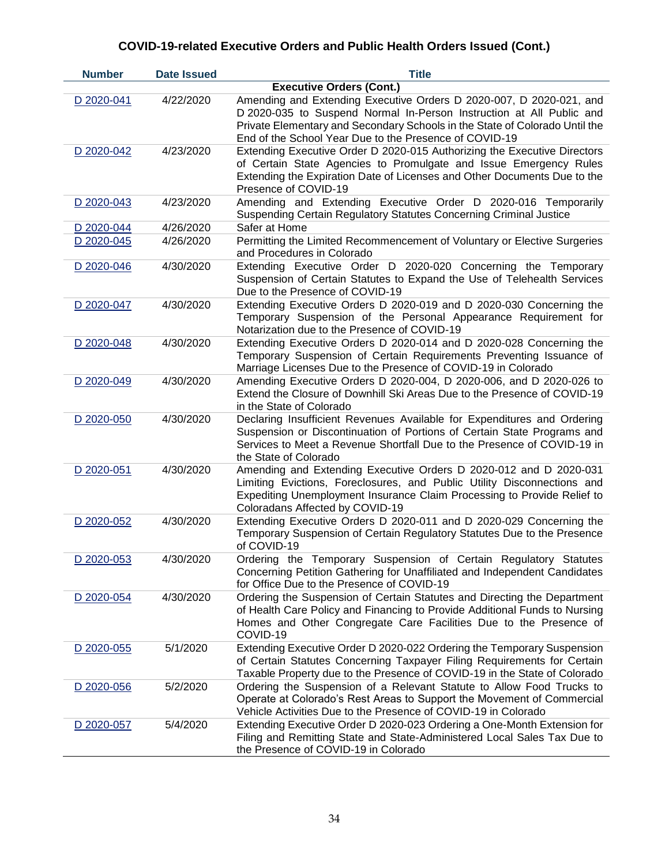| <b>Number</b> | <b>Date Issued</b> | <b>Title</b>                                                                                                                                                                                                                                                                         |
|---------------|--------------------|--------------------------------------------------------------------------------------------------------------------------------------------------------------------------------------------------------------------------------------------------------------------------------------|
|               |                    | <b>Executive Orders (Cont.)</b>                                                                                                                                                                                                                                                      |
| D 2020-041    | 4/22/2020          | Amending and Extending Executive Orders D 2020-007, D 2020-021, and<br>D 2020-035 to Suspend Normal In-Person Instruction at All Public and<br>Private Elementary and Secondary Schools in the State of Colorado Until the<br>End of the School Year Due to the Presence of COVID-19 |
| D 2020-042    | 4/23/2020          | Extending Executive Order D 2020-015 Authorizing the Executive Directors<br>of Certain State Agencies to Promulgate and Issue Emergency Rules<br>Extending the Expiration Date of Licenses and Other Documents Due to the<br>Presence of COVID-19                                    |
| D 2020-043    | 4/23/2020          | Amending and Extending Executive Order D 2020-016 Temporarily<br>Suspending Certain Regulatory Statutes Concerning Criminal Justice                                                                                                                                                  |
| D 2020-044    | 4/26/2020          | Safer at Home                                                                                                                                                                                                                                                                        |
| D 2020-045    | 4/26/2020          | Permitting the Limited Recommencement of Voluntary or Elective Surgeries<br>and Procedures in Colorado                                                                                                                                                                               |
| D 2020-046    | 4/30/2020          | Extending Executive Order D 2020-020 Concerning the Temporary<br>Suspension of Certain Statutes to Expand the Use of Telehealth Services<br>Due to the Presence of COVID-19                                                                                                          |
| D 2020-047    | 4/30/2020          | Extending Executive Orders D 2020-019 and D 2020-030 Concerning the<br>Temporary Suspension of the Personal Appearance Requirement for<br>Notarization due to the Presence of COVID-19                                                                                               |
| D 2020-048    | 4/30/2020          | Extending Executive Orders D 2020-014 and D 2020-028 Concerning the<br>Temporary Suspension of Certain Requirements Preventing Issuance of<br>Marriage Licenses Due to the Presence of COVID-19 in Colorado                                                                          |
| D 2020-049    | 4/30/2020          | Amending Executive Orders D 2020-004, D 2020-006, and D 2020-026 to<br>Extend the Closure of Downhill Ski Areas Due to the Presence of COVID-19<br>in the State of Colorado                                                                                                          |
| D 2020-050    | 4/30/2020          | Declaring Insufficient Revenues Available for Expenditures and Ordering<br>Suspension or Discontinuation of Portions of Certain State Programs and<br>Services to Meet a Revenue Shortfall Due to the Presence of COVID-19 in<br>the State of Colorado                               |
| D 2020-051    | 4/30/2020          | Amending and Extending Executive Orders D 2020-012 and D 2020-031<br>Limiting Evictions, Foreclosures, and Public Utility Disconnections and<br>Expediting Unemployment Insurance Claim Processing to Provide Relief to<br>Coloradans Affected by COVID-19                           |
| D 2020-052    | 4/30/2020          | Extending Executive Orders D 2020-011 and D 2020-029 Concerning the<br>Temporary Suspension of Certain Regulatory Statutes Due to the Presence<br>of COVID-19                                                                                                                        |
| D 2020-053    | 4/30/2020          | Ordering the Temporary Suspension of Certain Regulatory Statutes<br>Concerning Petition Gathering for Unaffiliated and Independent Candidates<br>for Office Due to the Presence of COVID-19                                                                                          |
| D 2020-054    | 4/30/2020          | Ordering the Suspension of Certain Statutes and Directing the Department<br>of Health Care Policy and Financing to Provide Additional Funds to Nursing<br>Homes and Other Congregate Care Facilities Due to the Presence of<br>COVID-19                                              |
| D 2020-055    | 5/1/2020           | Extending Executive Order D 2020-022 Ordering the Temporary Suspension<br>of Certain Statutes Concerning Taxpayer Filing Requirements for Certain<br>Taxable Property due to the Presence of COVID-19 in the State of Colorado                                                       |
| D 2020-056    | 5/2/2020           | Ordering the Suspension of a Relevant Statute to Allow Food Trucks to<br>Operate at Colorado's Rest Areas to Support the Movement of Commercial<br>Vehicle Activities Due to the Presence of COVID-19 in Colorado                                                                    |
| D 2020-057    | 5/4/2020           | Extending Executive Order D 2020-023 Ordering a One-Month Extension for<br>Filing and Remitting State and State-Administered Local Sales Tax Due to<br>the Presence of COVID-19 in Colorado                                                                                          |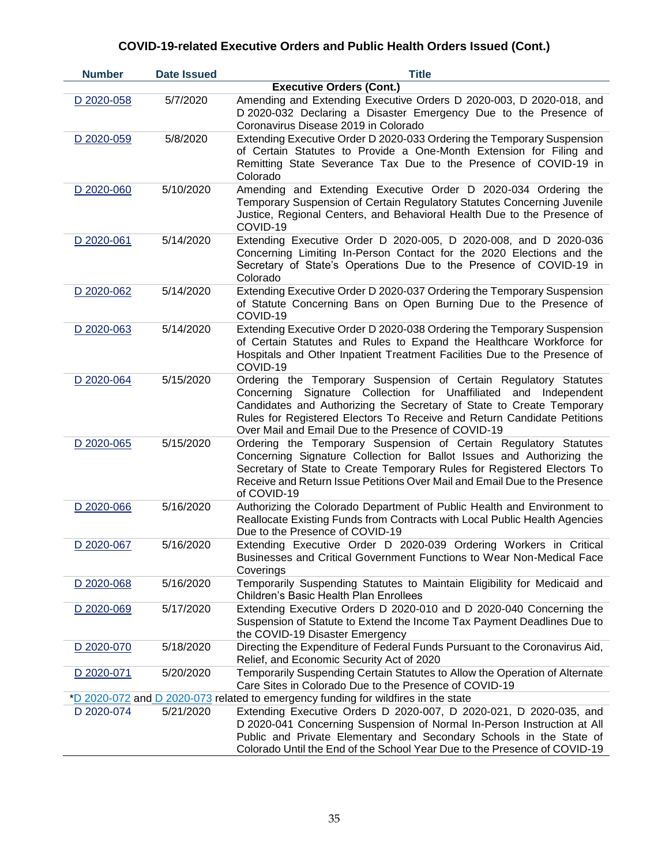| <b>Number</b> | <b>Date Issued</b> | <b>Title</b>                                                                                                                                                                                                                                                                                                                                    |
|---------------|--------------------|-------------------------------------------------------------------------------------------------------------------------------------------------------------------------------------------------------------------------------------------------------------------------------------------------------------------------------------------------|
|               |                    | <b>Executive Orders (Cont.)</b>                                                                                                                                                                                                                                                                                                                 |
| D 2020-058    | 5/7/2020           | Amending and Extending Executive Orders D 2020-003, D 2020-018, and<br>D 2020-032 Declaring a Disaster Emergency Due to the Presence of<br>Coronavirus Disease 2019 in Colorado                                                                                                                                                                 |
| D 2020-059    | 5/8/2020           | Extending Executive Order D 2020-033 Ordering the Temporary Suspension<br>of Certain Statutes to Provide a One-Month Extension for Filing and<br>Remitting State Severance Tax Due to the Presence of COVID-19 in<br>Colorado                                                                                                                   |
| D 2020-060    | 5/10/2020          | Amending and Extending Executive Order D 2020-034 Ordering the<br>Temporary Suspension of Certain Regulatory Statutes Concerning Juvenile<br>Justice, Regional Centers, and Behavioral Health Due to the Presence of<br>COVID-19                                                                                                                |
| D 2020-061    | 5/14/2020          | Extending Executive Order D 2020-005, D 2020-008, and D 2020-036<br>Concerning Limiting In-Person Contact for the 2020 Elections and the<br>Secretary of State's Operations Due to the Presence of COVID-19 in<br>Colorado                                                                                                                      |
| D 2020-062    | 5/14/2020          | Extending Executive Order D 2020-037 Ordering the Temporary Suspension<br>of Statute Concerning Bans on Open Burning Due to the Presence of<br>COVID-19                                                                                                                                                                                         |
| D 2020-063    | 5/14/2020          | Extending Executive Order D 2020-038 Ordering the Temporary Suspension<br>of Certain Statutes and Rules to Expand the Healthcare Workforce for<br>Hospitals and Other Inpatient Treatment Facilities Due to the Presence of<br>COVID-19                                                                                                         |
| D 2020-064    | 5/15/2020          | Ordering the Temporary Suspension of Certain Regulatory Statutes<br>Concerning Signature Collection for Unaffiliated and Independent<br>Candidates and Authorizing the Secretary of State to Create Temporary<br>Rules for Registered Electors To Receive and Return Candidate Petitions<br>Over Mail and Email Due to the Presence of COVID-19 |
| D 2020-065    | 5/15/2020          | Ordering the Temporary Suspension of Certain Regulatory Statutes<br>Concerning Signature Collection for Ballot Issues and Authorizing the<br>Secretary of State to Create Temporary Rules for Registered Electors To<br>Receive and Return Issue Petitions Over Mail and Email Due to the Presence<br>of COVID-19                               |
| D 2020-066    | 5/16/2020          | Authorizing the Colorado Department of Public Health and Environment to<br>Reallocate Existing Funds from Contracts with Local Public Health Agencies<br>Due to the Presence of COVID-19                                                                                                                                                        |
| D 2020-067    | 5/16/2020          | Extending Executive Order D 2020-039 Ordering Workers in Critical<br>Businesses and Critical Government Functions to Wear Non-Medical Face<br>Coverings                                                                                                                                                                                         |
| D 2020-068    | 5/16/2020          | Temporarily Suspending Statutes to Maintain Eligibility for Medicaid and<br>Children's Basic Health Plan Enrollees                                                                                                                                                                                                                              |
| D 2020-069    | 5/17/2020          | Extending Executive Orders D 2020-010 and D 2020-040 Concerning the<br>Suspension of Statute to Extend the Income Tax Payment Deadlines Due to<br>the COVID-19 Disaster Emergency                                                                                                                                                               |
| D 2020-070    | 5/18/2020          | Directing the Expenditure of Federal Funds Pursuant to the Coronavirus Aid,<br>Relief, and Economic Security Act of 2020                                                                                                                                                                                                                        |
| D 2020-071    | 5/20/2020          | Temporarily Suspending Certain Statutes to Allow the Operation of Alternate<br>Care Sites in Colorado Due to the Presence of COVID-19                                                                                                                                                                                                           |
|               |                    | *D 2020-072 and D 2020-073 related to emergency funding for wildfires in the state                                                                                                                                                                                                                                                              |
| D 2020-074    | 5/21/2020          | Extending Executive Orders D 2020-007, D 2020-021, D 2020-035, and<br>D 2020-041 Concerning Suspension of Normal In-Person Instruction at All<br>Public and Private Elementary and Secondary Schools in the State of<br>Colorado Until the End of the School Year Due to the Presence of COVID-19                                               |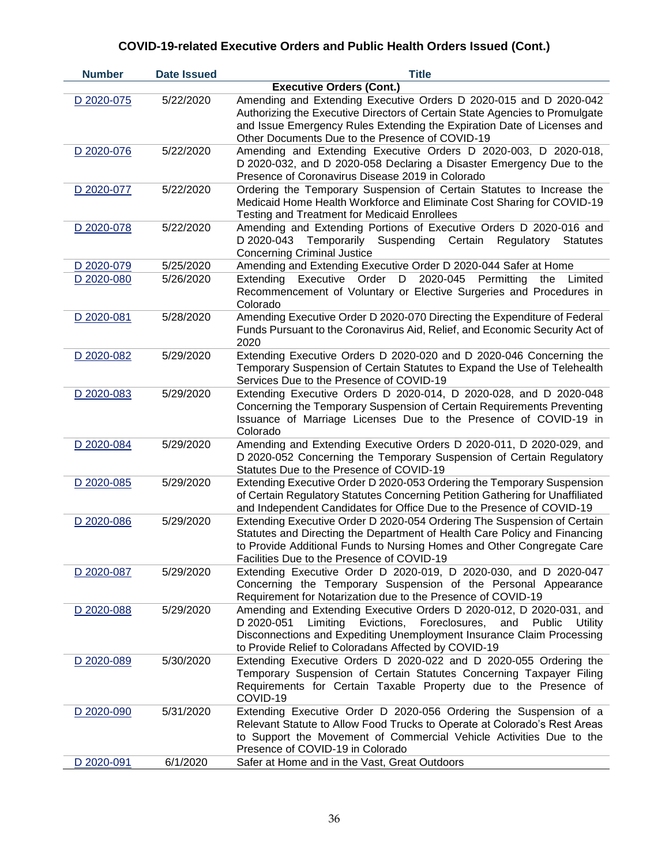| <b>Number</b> | <b>Date Issued</b> | <b>Title</b>                                                                                                                                                                                                                                                                              |
|---------------|--------------------|-------------------------------------------------------------------------------------------------------------------------------------------------------------------------------------------------------------------------------------------------------------------------------------------|
|               |                    | <b>Executive Orders (Cont.)</b>                                                                                                                                                                                                                                                           |
| D 2020-075    | 5/22/2020          | Amending and Extending Executive Orders D 2020-015 and D 2020-042<br>Authorizing the Executive Directors of Certain State Agencies to Promulgate<br>and Issue Emergency Rules Extending the Expiration Date of Licenses and<br>Other Documents Due to the Presence of COVID-19            |
| D 2020-076    | 5/22/2020          | Amending and Extending Executive Orders D 2020-003, D 2020-018,<br>D 2020-032, and D 2020-058 Declaring a Disaster Emergency Due to the<br>Presence of Coronavirus Disease 2019 in Colorado                                                                                               |
| D 2020-077    | 5/22/2020          | Ordering the Temporary Suspension of Certain Statutes to Increase the<br>Medicaid Home Health Workforce and Eliminate Cost Sharing for COVID-19<br><b>Testing and Treatment for Medicaid Enrollees</b>                                                                                    |
| D 2020-078    | 5/22/2020          | Amending and Extending Portions of Executive Orders D 2020-016 and<br>D 2020-043<br>Temporarily Suspending Certain Regulatory<br><b>Statutes</b><br><b>Concerning Criminal Justice</b>                                                                                                    |
| D 2020-079    | 5/25/2020          | Amending and Extending Executive Order D 2020-044 Safer at Home                                                                                                                                                                                                                           |
| D 2020-080    | 5/26/2020          | 2020-045<br>Extending<br>Executive Order D<br>Permitting<br>the<br>Limited<br>Recommencement of Voluntary or Elective Surgeries and Procedures in<br>Colorado                                                                                                                             |
| D 2020-081    | 5/28/2020          | Amending Executive Order D 2020-070 Directing the Expenditure of Federal<br>Funds Pursuant to the Coronavirus Aid, Relief, and Economic Security Act of<br>2020                                                                                                                           |
| D 2020-082    | 5/29/2020          | Extending Executive Orders D 2020-020 and D 2020-046 Concerning the<br>Temporary Suspension of Certain Statutes to Expand the Use of Telehealth<br>Services Due to the Presence of COVID-19                                                                                               |
| D 2020-083    | 5/29/2020          | Extending Executive Orders D 2020-014, D 2020-028, and D 2020-048<br>Concerning the Temporary Suspension of Certain Requirements Preventing<br>Issuance of Marriage Licenses Due to the Presence of COVID-19 in<br>Colorado                                                               |
| D 2020-084    | 5/29/2020          | Amending and Extending Executive Orders D 2020-011, D 2020-029, and<br>D 2020-052 Concerning the Temporary Suspension of Certain Regulatory<br>Statutes Due to the Presence of COVID-19                                                                                                   |
| D 2020-085    | 5/29/2020          | Extending Executive Order D 2020-053 Ordering the Temporary Suspension<br>of Certain Regulatory Statutes Concerning Petition Gathering for Unaffiliated<br>and Independent Candidates for Office Due to the Presence of COVID-19                                                          |
| D 2020-086    | 5/29/2020          | Extending Executive Order D 2020-054 Ordering The Suspension of Certain<br>Statutes and Directing the Department of Health Care Policy and Financing<br>to Provide Additional Funds to Nursing Homes and Other Congregate Care<br>Facilities Due to the Presence of COVID-19              |
| D 2020-087    | 5/29/2020          | Extending Executive Order D 2020-019, D 2020-030, and D 2020-047<br>Concerning the Temporary Suspension of the Personal Appearance<br>Requirement for Notarization due to the Presence of COVID-19                                                                                        |
| D 2020-088    | 5/29/2020          | Amending and Extending Executive Orders D 2020-012, D 2020-031, and<br>Limiting<br>Evictions,<br>Foreclosures,<br>D 2020-051<br>and<br>Public<br>Utility<br>Disconnections and Expediting Unemployment Insurance Claim Processing<br>to Provide Relief to Coloradans Affected by COVID-19 |
| D 2020-089    | 5/30/2020          | Extending Executive Orders D 2020-022 and D 2020-055 Ordering the<br>Temporary Suspension of Certain Statutes Concerning Taxpayer Filing<br>Requirements for Certain Taxable Property due to the Presence of<br>COVID-19                                                                  |
| D 2020-090    | 5/31/2020          | Extending Executive Order D 2020-056 Ordering the Suspension of a<br>Relevant Statute to Allow Food Trucks to Operate at Colorado's Rest Areas<br>to Support the Movement of Commercial Vehicle Activities Due to the<br>Presence of COVID-19 in Colorado                                 |
| D 2020-091    | 6/1/2020           | Safer at Home and in the Vast, Great Outdoors                                                                                                                                                                                                                                             |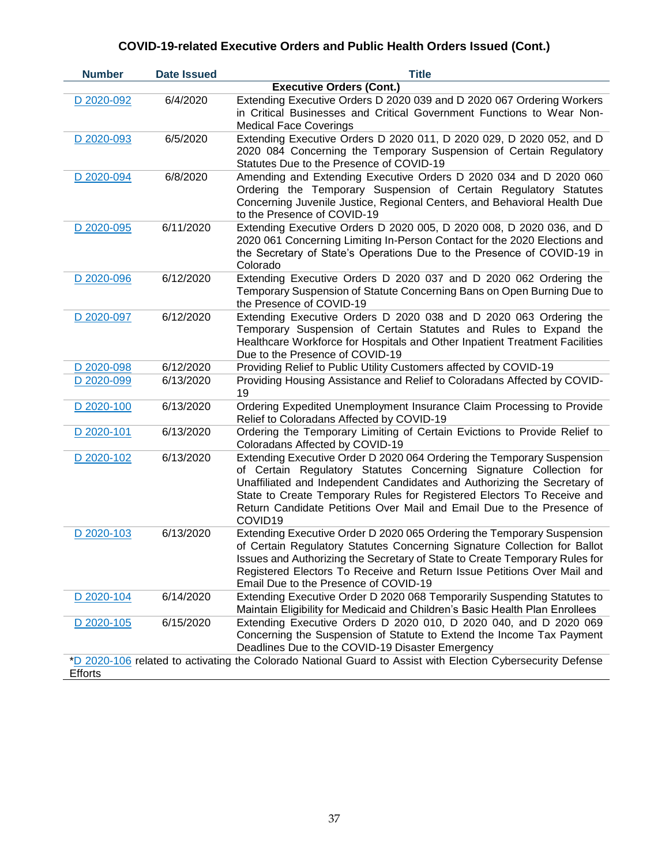| <b>Number</b>  | <b>Date Issued</b> | <b>Title</b>                                                                                                                                                                                                                                                                                                                                                                           |
|----------------|--------------------|----------------------------------------------------------------------------------------------------------------------------------------------------------------------------------------------------------------------------------------------------------------------------------------------------------------------------------------------------------------------------------------|
|                |                    | <b>Executive Orders (Cont.)</b>                                                                                                                                                                                                                                                                                                                                                        |
| D 2020-092     | 6/4/2020           | Extending Executive Orders D 2020 039 and D 2020 067 Ordering Workers<br>in Critical Businesses and Critical Government Functions to Wear Non-<br><b>Medical Face Coverings</b>                                                                                                                                                                                                        |
| D 2020-093     | 6/5/2020           | Extending Executive Orders D 2020 011, D 2020 029, D 2020 052, and D<br>2020 084 Concerning the Temporary Suspension of Certain Regulatory<br>Statutes Due to the Presence of COVID-19                                                                                                                                                                                                 |
| D 2020-094     | 6/8/2020           | Amending and Extending Executive Orders D 2020 034 and D 2020 060<br>Ordering the Temporary Suspension of Certain Regulatory Statutes<br>Concerning Juvenile Justice, Regional Centers, and Behavioral Health Due<br>to the Presence of COVID-19                                                                                                                                       |
| D 2020-095     | 6/11/2020          | Extending Executive Orders D 2020 005, D 2020 008, D 2020 036, and D<br>2020 061 Concerning Limiting In-Person Contact for the 2020 Elections and<br>the Secretary of State's Operations Due to the Presence of COVID-19 in<br>Colorado                                                                                                                                                |
| D 2020-096     | 6/12/2020          | Extending Executive Orders D 2020 037 and D 2020 062 Ordering the<br>Temporary Suspension of Statute Concerning Bans on Open Burning Due to<br>the Presence of COVID-19                                                                                                                                                                                                                |
| D 2020-097     | 6/12/2020          | Extending Executive Orders D 2020 038 and D 2020 063 Ordering the<br>Temporary Suspension of Certain Statutes and Rules to Expand the<br>Healthcare Workforce for Hospitals and Other Inpatient Treatment Facilities<br>Due to the Presence of COVID-19                                                                                                                                |
| D 2020-098     | 6/12/2020          | Providing Relief to Public Utility Customers affected by COVID-19                                                                                                                                                                                                                                                                                                                      |
| D 2020-099     | 6/13/2020          | Providing Housing Assistance and Relief to Coloradans Affected by COVID-<br>19                                                                                                                                                                                                                                                                                                         |
| D 2020-100     | 6/13/2020          | Ordering Expedited Unemployment Insurance Claim Processing to Provide<br>Relief to Coloradans Affected by COVID-19                                                                                                                                                                                                                                                                     |
| D 2020-101     | 6/13/2020          | Ordering the Temporary Limiting of Certain Evictions to Provide Relief to<br>Coloradans Affected by COVID-19                                                                                                                                                                                                                                                                           |
| D 2020-102     | 6/13/2020          | Extending Executive Order D 2020 064 Ordering the Temporary Suspension<br>of Certain Regulatory Statutes Concerning Signature Collection for<br>Unaffiliated and Independent Candidates and Authorizing the Secretary of<br>State to Create Temporary Rules for Registered Electors To Receive and<br>Return Candidate Petitions Over Mail and Email Due to the Presence of<br>COVID19 |
| D 2020-103     | 6/13/2020          | Extending Executive Order D 2020 065 Ordering the Temporary Suspension<br>of Certain Regulatory Statutes Concerning Signature Collection for Ballot<br>Issues and Authorizing the Secretary of State to Create Temporary Rules for<br>Registered Electors To Receive and Return Issue Petitions Over Mail and<br>Email Due to the Presence of COVID-19                                 |
| D 2020-104     | 6/14/2020          | Extending Executive Order D 2020 068 Temporarily Suspending Statutes to<br>Maintain Eligibility for Medicaid and Children's Basic Health Plan Enrollees                                                                                                                                                                                                                                |
| D 2020-105     | 6/15/2020          | Extending Executive Orders D 2020 010, D 2020 040, and D 2020 069<br>Concerning the Suspension of Statute to Extend the Income Tax Payment<br>Deadlines Due to the COVID-19 Disaster Emergency                                                                                                                                                                                         |
|                |                    | *D 2020-106 related to activating the Colorado National Guard to Assist with Election Cybersecurity Defense                                                                                                                                                                                                                                                                            |
| <b>Efforts</b> |                    |                                                                                                                                                                                                                                                                                                                                                                                        |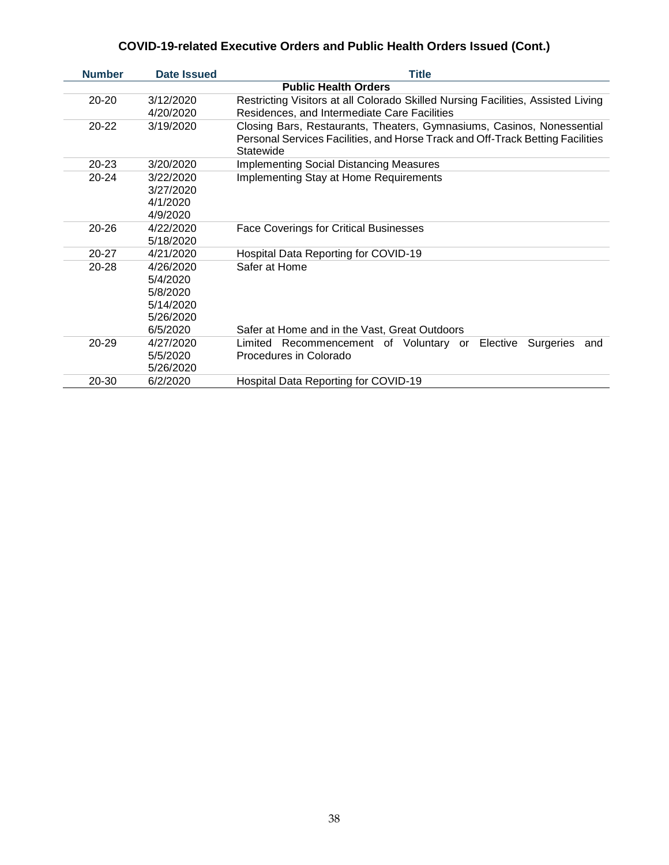| <b>Number</b> | <b>Date Issued</b>                                                      | <b>Title</b>                                                                                                                                                          |  |
|---------------|-------------------------------------------------------------------------|-----------------------------------------------------------------------------------------------------------------------------------------------------------------------|--|
|               | <b>Public Health Orders</b>                                             |                                                                                                                                                                       |  |
| $20 - 20$     | 3/12/2020<br>4/20/2020                                                  | Restricting Visitors at all Colorado Skilled Nursing Facilities, Assisted Living<br>Residences, and Intermediate Care Facilities                                      |  |
| $20 - 22$     | 3/19/2020                                                               | Closing Bars, Restaurants, Theaters, Gymnasiums, Casinos, Nonessential<br>Personal Services Facilities, and Horse Track and Off-Track Betting Facilities<br>Statewide |  |
| $20 - 23$     | 3/20/2020                                                               | <b>Implementing Social Distancing Measures</b>                                                                                                                        |  |
| $20 - 24$     | 3/22/2020<br>3/27/2020<br>4/1/2020<br>4/9/2020                          | <b>Implementing Stay at Home Requirements</b>                                                                                                                         |  |
| $20 - 26$     | 4/22/2020<br>5/18/2020                                                  | <b>Face Coverings for Critical Businesses</b>                                                                                                                         |  |
| $20 - 27$     | 4/21/2020                                                               | Hospital Data Reporting for COVID-19                                                                                                                                  |  |
| $20 - 28$     | 4/26/2020<br>5/4/2020<br>5/8/2020<br>5/14/2020<br>5/26/2020<br>6/5/2020 | Safer at Home<br>Safer at Home and in the Vast, Great Outdoors                                                                                                        |  |
| $20 - 29$     | 4/27/2020<br>5/5/2020<br>5/26/2020                                      | Limited<br>Recommencement of Voluntary or<br>Elective<br>Surgeries<br>and<br>Procedures in Colorado                                                                   |  |
| 20-30         | 6/2/2020                                                                | Hospital Data Reporting for COVID-19                                                                                                                                  |  |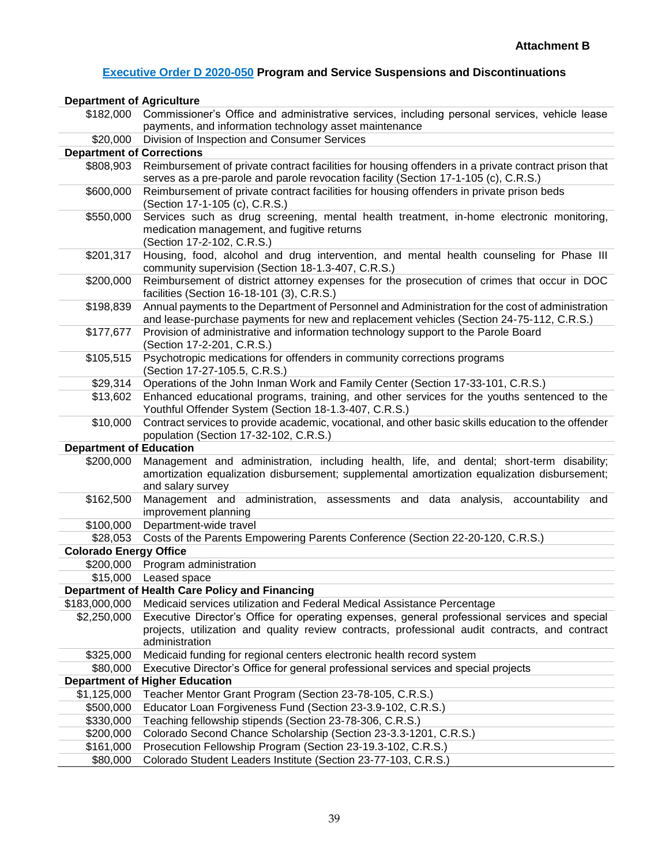### **[Executive Order D 2020-050](https://www.colorado.gov/governor/sites/default/files/inline-files/D%202020%20050%20Budget.pdf) Program and Service Suspensions and Discontinuations**

| <b>Department of Agriculture</b> |                                                                                                                                                                                                                   |
|----------------------------------|-------------------------------------------------------------------------------------------------------------------------------------------------------------------------------------------------------------------|
| \$182,000                        | Commissioner's Office and administrative services, including personal services, vehicle lease                                                                                                                     |
|                                  | payments, and information technology asset maintenance                                                                                                                                                            |
| \$20,000                         | Division of Inspection and Consumer Services                                                                                                                                                                      |
| <b>Department of Corrections</b> |                                                                                                                                                                                                                   |
| \$808,903                        | Reimbursement of private contract facilities for housing offenders in a private contract prison that                                                                                                              |
|                                  | serves as a pre-parole and parole revocation facility (Section 17-1-105 (c), C.R.S.)                                                                                                                              |
| \$600,000                        | Reimbursement of private contract facilities for housing offenders in private prison beds<br>(Section 17-1-105 (c), C.R.S.)                                                                                       |
| \$550,000                        | Services such as drug screening, mental health treatment, in-home electronic monitoring,<br>medication management, and fugitive returns<br>(Section 17-2-102, C.R.S.)                                             |
| \$201,317                        | Housing, food, alcohol and drug intervention, and mental health counseling for Phase III<br>community supervision (Section 18-1.3-407, C.R.S.)                                                                    |
| \$200,000                        | Reimbursement of district attorney expenses for the prosecution of crimes that occur in DOC<br>facilities (Section 16-18-101 (3), C.R.S.)                                                                         |
| \$198,839                        | Annual payments to the Department of Personnel and Administration for the cost of administration<br>and lease-purchase payments for new and replacement vehicles (Section 24-75-112, C.R.S.)                      |
| \$177,677                        | Provision of administrative and information technology support to the Parole Board<br>(Section 17-2-201, C.R.S.)                                                                                                  |
| \$105,515                        | Psychotropic medications for offenders in community corrections programs<br>(Section 17-27-105.5, C.R.S.)                                                                                                         |
| \$29,314                         | Operations of the John Inman Work and Family Center (Section 17-33-101, C.R.S.)                                                                                                                                   |
| \$13,602                         | Enhanced educational programs, training, and other services for the youths sentenced to the<br>Youthful Offender System (Section 18-1.3-407, C.R.S.)                                                              |
| \$10,000                         | Contract services to provide academic, vocational, and other basic skills education to the offender<br>population (Section 17-32-102, C.R.S.)                                                                     |
| <b>Department of Education</b>   |                                                                                                                                                                                                                   |
| \$200,000                        | Management and administration, including health, life, and dental; short-term disability;<br>amortization equalization disbursement; supplemental amortization equalization disbursement;<br>and salary survey    |
| \$162,500                        | Management and administration, assessments and data analysis, accountability and<br>improvement planning                                                                                                          |
| \$100,000                        | Department-wide travel                                                                                                                                                                                            |
| \$28,053                         | Costs of the Parents Empowering Parents Conference (Section 22-20-120, C.R.S.)                                                                                                                                    |
| <b>Colorado Energy Office</b>    |                                                                                                                                                                                                                   |
| \$200,000                        | Program administration                                                                                                                                                                                            |
| \$15,000                         | Leased space                                                                                                                                                                                                      |
|                                  | Department of Health Care Policy and Financing                                                                                                                                                                    |
| \$183,000,000                    | Medicaid services utilization and Federal Medical Assistance Percentage                                                                                                                                           |
| \$2,250,000                      | Executive Director's Office for operating expenses, general professional services and special<br>projects, utilization and quality review contracts, professional audit contracts, and contract<br>administration |
| \$325,000                        | Medicaid funding for regional centers electronic health record system                                                                                                                                             |
| \$80,000                         | Executive Director's Office for general professional services and special projects                                                                                                                                |
|                                  | <b>Department of Higher Education</b>                                                                                                                                                                             |
| \$1,125,000                      | Teacher Mentor Grant Program (Section 23-78-105, C.R.S.)                                                                                                                                                          |
| \$500,000                        | Educator Loan Forgiveness Fund (Section 23-3.9-102, C.R.S.)                                                                                                                                                       |
| \$330,000                        | Teaching fellowship stipends (Section 23-78-306, C.R.S.)                                                                                                                                                          |
| \$200,000                        | Colorado Second Chance Scholarship (Section 23-3.3-1201, C.R.S.)                                                                                                                                                  |
| \$161,000                        | Prosecution Fellowship Program (Section 23-19.3-102, C.R.S.)                                                                                                                                                      |
| \$80,000                         | Colorado Student Leaders Institute (Section 23-77-103, C.R.S.)                                                                                                                                                    |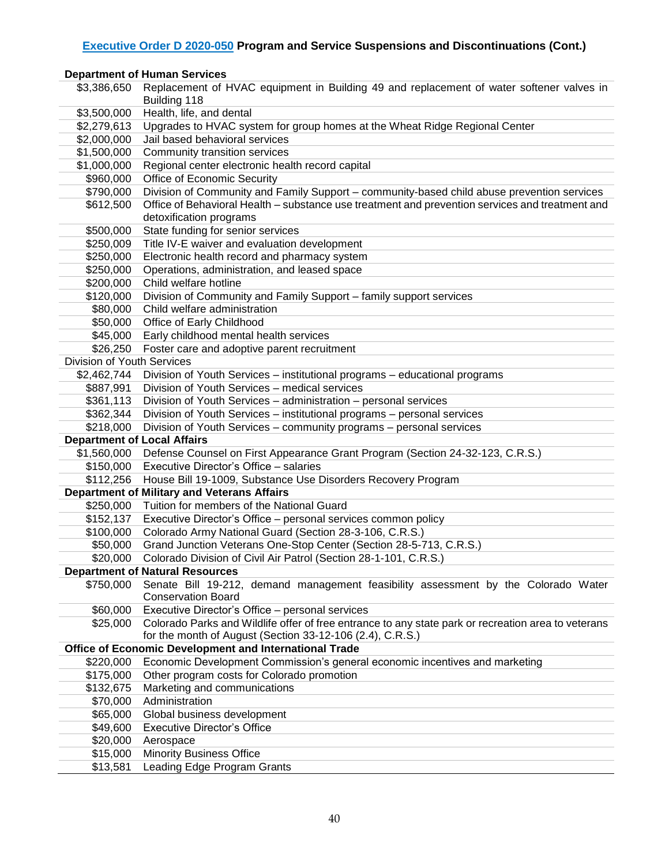### **[Executive Order D 2020-050](https://www.colorado.gov/governor/sites/default/files/inline-files/D%202020%20050%20Budget.pdf) Program and Service Suspensions and Discontinuations (Cont.)**

#### **Department of Human Services**

| \$3,386,650                        | Replacement of HVAC equipment in Building 49 and replacement of water softener valves in<br>Building 118 |
|------------------------------------|----------------------------------------------------------------------------------------------------------|
| \$3,500,000                        | Health, life, and dental                                                                                 |
| \$2,279,613                        | Upgrades to HVAC system for group homes at the Wheat Ridge Regional Center                               |
| \$2,000,000                        | Jail based behavioral services                                                                           |
| \$1,500,000                        | Community transition services                                                                            |
| \$1,000,000                        | Regional center electronic health record capital                                                         |
| \$960,000                          | Office of Economic Security                                                                              |
| \$790,000                          | Division of Community and Family Support - community-based child abuse prevention services               |
| \$612,500                          | Office of Behavioral Health - substance use treatment and prevention services and treatment and          |
|                                    | detoxification programs                                                                                  |
| \$500,000                          | State funding for senior services                                                                        |
| \$250,009                          | Title IV-E waiver and evaluation development                                                             |
| \$250,000                          | Electronic health record and pharmacy system                                                             |
| \$250,000                          | Operations, administration, and leased space                                                             |
| \$200,000                          | Child welfare hotline                                                                                    |
| \$120,000                          | Division of Community and Family Support - family support services                                       |
| \$80,000                           | Child welfare administration                                                                             |
| \$50,000                           | Office of Early Childhood                                                                                |
| \$45,000                           | Early childhood mental health services                                                                   |
| \$26,250                           | Foster care and adoptive parent recruitment                                                              |
| Division of Youth Services         |                                                                                                          |
| \$2,462,744                        | Division of Youth Services – institutional programs – educational programs                               |
| \$887,991                          | Division of Youth Services - medical services                                                            |
| \$361,113                          | Division of Youth Services - administration - personal services                                          |
| \$362,344                          | Division of Youth Services - institutional programs - personal services                                  |
| \$218,000                          | Division of Youth Services - community programs - personal services                                      |
| <b>Department of Local Affairs</b> |                                                                                                          |
|                                    | \$1,560,000 Defense Counsel on First Appearance Grant Program (Section 24-32-123, C.R.S.)                |
|                                    | \$150,000 Executive Director's Office - salaries                                                         |
|                                    | \$112,256 House Bill 19-1009, Substance Use Disorders Recovery Program                                   |
|                                    | <b>Department of Military and Veterans Affairs</b>                                                       |
|                                    | \$250,000 Tuition for members of the National Guard                                                      |
| \$152,137                          | Executive Director's Office - personal services common policy                                            |
|                                    | \$100,000 Colorado Army National Guard (Section 28-3-106, C.R.S.)                                        |
|                                    | \$50,000 Grand Junction Veterans One-Stop Center (Section 28-5-713, C.R.S.)                              |
|                                    | \$20,000 Colorado Division of Civil Air Patrol (Section 28-1-101, C.R.S.)                                |
|                                    | <b>Department of Natural Resources</b>                                                                   |
| \$750,000                          | Senate Bill 19-212, demand management feasibility assessment by the Colorado Water                       |
|                                    | <b>Conservation Board</b>                                                                                |
| \$60,000                           | Executive Director's Office - personal services                                                          |
| \$25,000                           | Colorado Parks and Wildlife offer of free entrance to any state park or recreation area to veterans      |
|                                    | for the month of August (Section 33-12-106 (2.4), C.R.S.)                                                |
|                                    | Office of Economic Development and International Trade                                                   |
| \$220,000                          | Economic Development Commission's general economic incentives and marketing                              |
| \$175,000                          | Other program costs for Colorado promotion                                                               |
| \$132,675                          | Marketing and communications                                                                             |
| \$70,000                           | Administration                                                                                           |
| \$65,000                           | Global business development                                                                              |
| \$49,600                           | <b>Executive Director's Office</b>                                                                       |
| \$20,000                           | Aerospace                                                                                                |
| \$15,000                           | <b>Minority Business Office</b>                                                                          |
| \$13,581                           | Leading Edge Program Grants                                                                              |